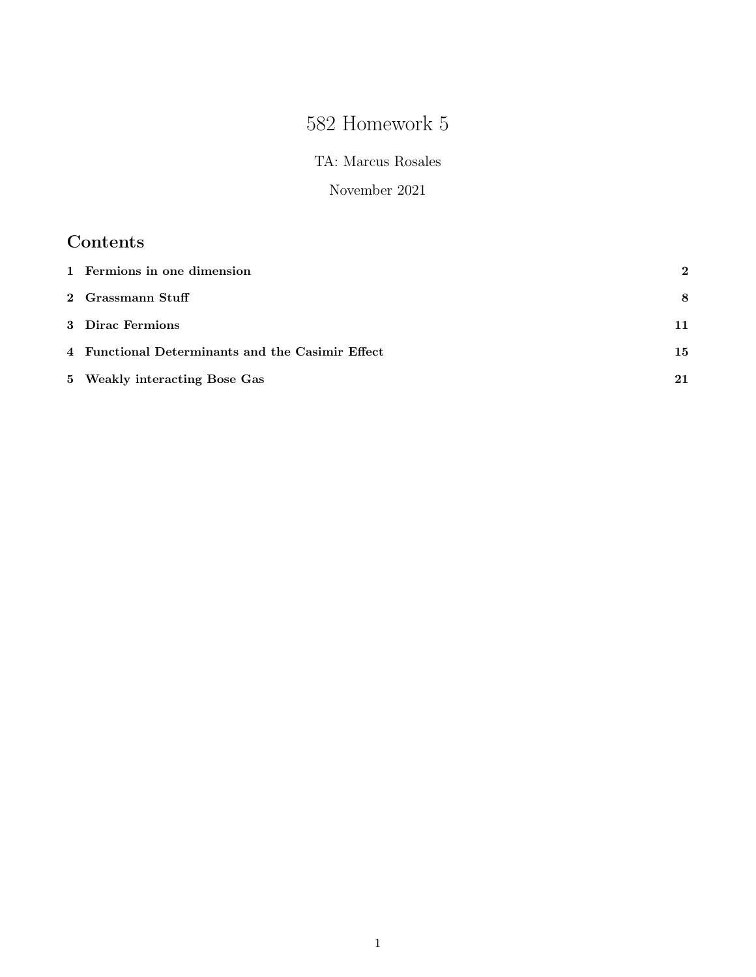# 582 Homework 5

TA: Marcus Rosales

November 2021

## Contents

| 1 Fermions in one dimension                      | $\bf{2}$ |
|--------------------------------------------------|----------|
| 2 Grassmann Stuff                                | 8        |
| 3 Dirac Fermions                                 | 11       |
| 4 Functional Determinants and the Casimir Effect | 15       |
| 5 Weakly interacting Bose Gas                    |          |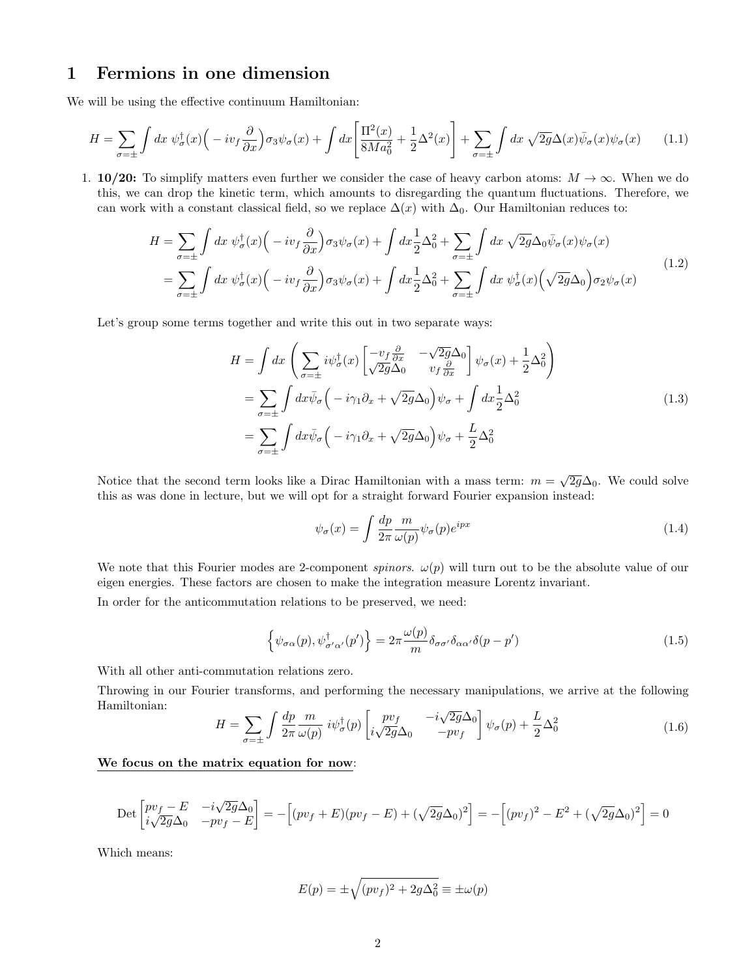### 1 Fermions in one dimension

We will be using the effective continuum Hamiltonian:

$$
H = \sum_{\sigma = \pm} \int dx \, \psi_{\sigma}^{\dagger}(x) \Big( -i v_f \frac{\partial}{\partial x} \Big) \sigma_3 \psi_{\sigma}(x) + \int dx \Big[ \frac{\Pi^2(x)}{8Ma_0^2} + \frac{1}{2} \Delta^2(x) \Big] + \sum_{\sigma = \pm} \int dx \, \sqrt{2g} \Delta(x) \bar{\psi}_{\sigma}(x) \psi_{\sigma}(x) \tag{1.1}
$$

1. 10/20: To simplify matters even further we consider the case of heavy carbon atoms:  $M \to \infty$ . When we do this, we can drop the kinetic term, which amounts to disregarding the quantum fluctuations. Therefore, we can work with a constant classical field, so we replace  $\Delta(x)$  with  $\Delta_0$ . Our Hamiltonian reduces to:

$$
H = \sum_{\sigma=\pm} \int dx \, \psi_{\sigma}^{\dagger}(x) \Big( -i v_f \frac{\partial}{\partial x} \Big) \sigma_3 \psi_{\sigma}(x) + \int dx \frac{1}{2} \Delta_0^2 + \sum_{\sigma=\pm} \int dx \, \sqrt{2g} \Delta_0 \bar{\psi}_{\sigma}(x) \psi_{\sigma}(x)
$$
  
= 
$$
\sum_{\sigma=\pm} \int dx \, \psi_{\sigma}^{\dagger}(x) \Big( -i v_f \frac{\partial}{\partial x} \Big) \sigma_3 \psi_{\sigma}(x) + \int dx \frac{1}{2} \Delta_0^2 + \sum_{\sigma=\pm} \int dx \, \psi_{\sigma}^{\dagger}(x) \Big( \sqrt{2g} \Delta_0 \Big) \sigma_2 \psi_{\sigma}(x)
$$
(1.2)

Let's group some terms together and write this out in two separate ways:

$$
H = \int dx \left( \sum_{\sigma=\pm} i \psi_{\sigma}^{\dagger}(x) \begin{bmatrix} -v_{f} \frac{\partial}{\partial x} & -\sqrt{2g} \Delta_{0} \\ \sqrt{2g} \Delta_{0} & v_{f} \frac{\partial}{\partial x} \end{bmatrix} \psi_{\sigma}(x) + \frac{1}{2} \Delta_{0}^{2} \right)
$$
  
= 
$$
\sum_{\sigma=\pm} \int dx \bar{\psi}_{\sigma} \left( -i \gamma_{1} \partial_{x} + \sqrt{2g} \Delta_{0} \right) \psi_{\sigma} + \int dx \frac{1}{2} \Delta_{0}^{2}
$$
  
= 
$$
\sum_{\sigma=\pm} \int dx \bar{\psi}_{\sigma} \left( -i \gamma_{1} \partial_{x} + \sqrt{2g} \Delta_{0} \right) \psi_{\sigma} + \frac{L}{2} \Delta_{0}^{2}
$$
(1.3)

Notice that the second term looks like a Dirac Hamiltonian with a mass term:  $m = \sqrt{2g}\Delta_0$ . We could solve this as was done in lecture, but we will opt for a straight forward Fourier expansion instead:

$$
\psi_{\sigma}(x) = \int \frac{dp}{2\pi} \frac{m}{\omega(p)} \psi_{\sigma}(p) e^{ipx}
$$
\n(1.4)

We note that this Fourier modes are 2-component spinors.  $\omega(p)$  will turn out to be the absolute value of our eigen energies. These factors are chosen to make the integration measure Lorentz invariant.

In order for the anticommutation relations to be preserved, we need:

$$
\left\{\psi_{\sigma\alpha}(p),\psi_{\sigma'\alpha'}^{\dagger}(p')\right\} = 2\pi \frac{\omega(p)}{m} \delta_{\sigma\sigma'}\delta_{\alpha\alpha'}\delta(p-p')
$$
\n(1.5)

With all other anti-commutation relations zero.

Throwing in our Fourier transforms, and performing the necessary manipulations, we arrive at the following Hamiltonian: √

$$
H = \sum_{\sigma=\pm} \int \frac{dp}{2\pi} \frac{m}{\omega(p)} i\psi_{\sigma}^{\dagger}(p) \begin{bmatrix} pv_f & -i\sqrt{2g}\Delta_0 \\ i\sqrt{2g}\Delta_0 & -pv_f \end{bmatrix} \psi_{\sigma}(p) + \frac{L}{2}\Delta_0^2
$$
 (1.6)

#### We focus on the matrix equation for now:

$$
\text{Det}\begin{bmatrix} pv_f - E & -i\sqrt{2g}\Delta_0 \\ i\sqrt{2g}\Delta_0 & -pv_f - E \end{bmatrix} = -\left[ (pv_f + E)(pv_f - E) + (\sqrt{2g}\Delta_0)^2 \right] = -\left[ (pv_f)^2 - E^2 + (\sqrt{2g}\Delta_0)^2 \right] = 0
$$

Which means:

$$
E(p) = \pm \sqrt{(pv_f)^2 + 2g\Delta_0^2} \equiv \pm \omega(p)
$$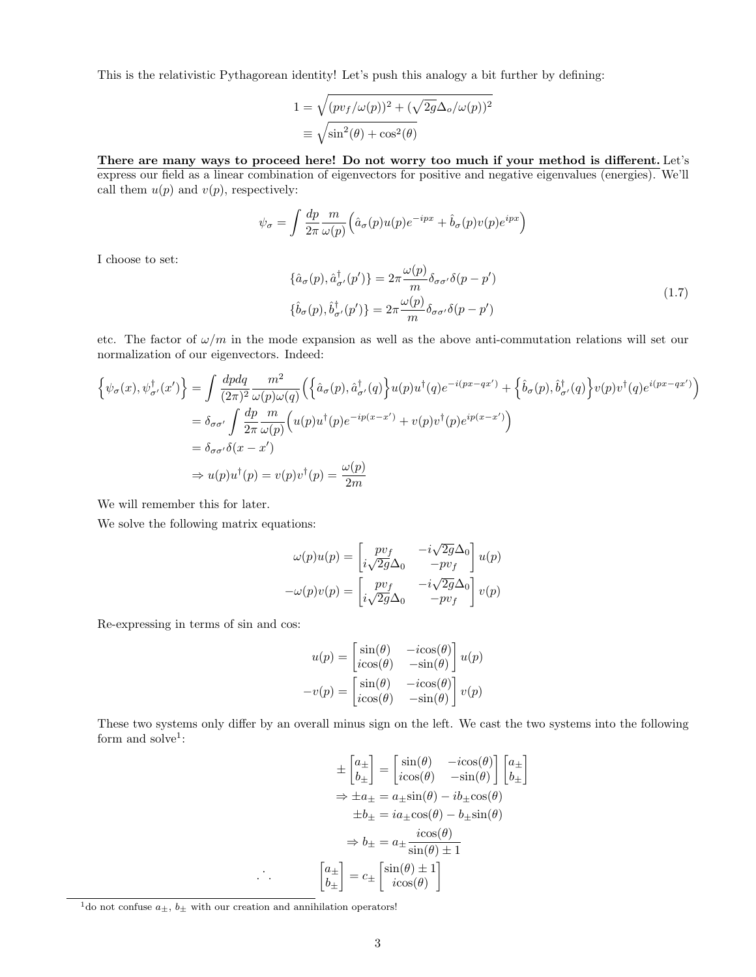This is the relativistic Pythagorean identity! Let's push this analogy a bit further by defining:

$$
1 = \sqrt{(pv_f/\omega(p))^2 + (\sqrt{2g}\Delta_o/\omega(p))^2}
$$
  

$$
\equiv \sqrt{\sin^2(\theta) + \cos^2(\theta)}
$$

#### There are many ways to proceed here! Do not worry too much if your method is different. Let's express our field as a linear combination of eigenvectors for positive and negative eigenvalues (energies). We'll call them  $u(p)$  and  $v(p)$ , respectively:

$$
\psi_{\sigma} = \int \frac{dp}{2\pi} \frac{m}{\omega(p)} \Big( \hat{a}_{\sigma}(p) u(p) e^{-ipx} + \hat{b}_{\sigma}(p) v(p) e^{ipx} \Big)
$$

I choose to set:

$$
\{\hat{a}_{\sigma}(p), \hat{a}_{\sigma'}^{\dagger}(p')\} = 2\pi \frac{\omega(p)}{m} \delta_{\sigma\sigma'} \delta(p - p')
$$
\n
$$
\{\hat{b}_{\sigma}(p), \hat{b}_{\sigma'}^{\dagger}(p')\} = 2\pi \frac{\omega(p)}{m} \delta_{\sigma\sigma'} \delta(p - p')
$$
\n(1.7)

etc. The factor of  $\omega/m$  in the mode expansion as well as the above anti-commutation relations will set our normalization of our eigenvectors. Indeed:

$$
\begin{split}\n\left\{\psi_{\sigma}(x),\psi_{\sigma'}^{\dagger}(x')\right\} &= \int \frac{dpdq}{(2\pi)^2} \frac{m^2}{\omega(p)\omega(q)} \Big(\Big\{\hat{a}_{\sigma}(p),\hat{a}_{\sigma'}^{\dagger}(q)\Big\} u(p)u^{\dagger}(q)e^{-i(px-qx')} + \Big\{\hat{b}_{\sigma}(p),\hat{b}_{\sigma'}^{\dagger}(q)\Big\} v(p)v^{\dagger}(q)e^{i(px-qx')} \Big) \\
&= \delta_{\sigma\sigma'} \int \frac{dp}{2\pi} \frac{m}{\omega(p)} \Big(u(p)u^{\dagger}(p)e^{-ip(x-x')} + v(p)v^{\dagger}(p)e^{ip(x-x')} \Big) \\
&= \delta_{\sigma\sigma'}\delta(x-x') \\
&\Rightarrow u(p)u^{\dagger}(p) = v(p)v^{\dagger}(p) = \frac{\omega(p)}{2m}\n\end{split}
$$

We will remember this for later.

We solve the following matrix equations:

$$
\omega(p)u(p) = \begin{bmatrix} pv_f & -i\sqrt{2g}\Delta_0 \\ i\sqrt{2g}\Delta_0 & -pv_f \end{bmatrix} u(p)
$$

$$
-\omega(p)v(p) = \begin{bmatrix} pv_f & -i\sqrt{2g}\Delta_0 \\ i\sqrt{2g}\Delta_0 & -pv_f \end{bmatrix} v(p)
$$

Re-expressing in terms of sin and cos:

$$
u(p) = \begin{bmatrix} \sin(\theta) & -i\cos(\theta) \\ i\cos(\theta) & -\sin(\theta) \end{bmatrix} u(p)
$$

$$
-v(p) = \begin{bmatrix} \sin(\theta) & -i\cos(\theta) \\ i\cos(\theta) & -\sin(\theta) \end{bmatrix} v(p)
$$

These two systems only differ by an overall minus sign on the left. We cast the two systems into the following form and solve<sup>1</sup>:

$$
\pm \begin{bmatrix} a_{\pm} \\ b_{\pm} \end{bmatrix} = \begin{bmatrix} \sin(\theta) & -i\cos(\theta) \\ i\cos(\theta) & -\sin(\theta) \end{bmatrix} \begin{bmatrix} a_{\pm} \\ b_{\pm} \end{bmatrix}
$$

$$
\Rightarrow \pm a_{\pm} = a_{\pm}\sin(\theta) - ib_{\pm}\cos(\theta)
$$

$$
\pm b_{\pm} = ia_{\pm}\cos(\theta) - b_{\pm}\sin(\theta)
$$

$$
\Rightarrow b_{\pm} = a_{\pm}\frac{i\cos(\theta)}{\sin(\theta) \pm 1}
$$

$$
\begin{bmatrix} a_{\pm} \\ b_{\pm} \end{bmatrix} = c_{\pm} \begin{bmatrix} \sin(\theta) \pm 1 \\ i\cos(\theta) \end{bmatrix}
$$

 $\mathbb{R}^4$ .

 $^1\text{do}$  not confuse  $a_\pm,$   $b_\pm$  with our creation and annihilation operators!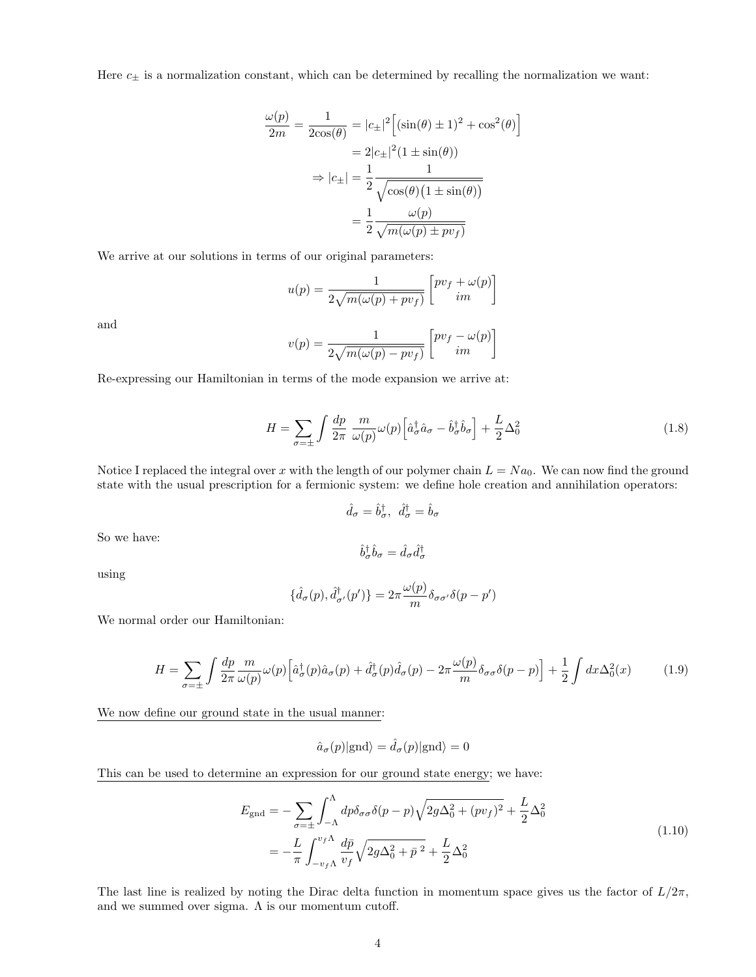Here  $c_{\pm}$  is a normalization constant, which can be determined by recalling the normalization we want:

$$
\frac{\omega(p)}{2m} = \frac{1}{2\cos(\theta)} = |c_{\pm}|^2 \left[ (\sin(\theta) \pm 1)^2 + \cos^2(\theta) \right]
$$

$$
= 2|c_{\pm}|^2 (1 \pm \sin(\theta))
$$

$$
\Rightarrow |c_{\pm}| = \frac{1}{2} \frac{1}{\sqrt{\cos(\theta)(1 \pm \sin(\theta))}}
$$

$$
= \frac{1}{2} \frac{\omega(p)}{\sqrt{m(\omega(p) \pm pv_f)}}
$$

We arrive at our solutions in terms of our original parameters:

$$
u(p) = \frac{1}{2\sqrt{m(\omega(p) + pv_f)}} \left[ \begin{matrix} pv_f + \omega(p) \\ im \end{matrix} \right]
$$

and

$$
v(p) = \frac{1}{2\sqrt{m(\omega(p) - pv_f)}} \left[ \begin{matrix} pv_f - \omega(p) \\ im \end{matrix} \right]
$$

Re-expressing our Hamiltonian in terms of the mode expansion we arrive at:

$$
H = \sum_{\sigma=\pm} \int \frac{dp}{2\pi} \frac{m}{\omega(p)} \omega(p) \left[ \hat{a}^{\dagger}_{\sigma} \hat{a}_{\sigma} - \hat{b}^{\dagger}_{\sigma} \hat{b}_{\sigma} \right] + \frac{L}{2} \Delta_0^2 \tag{1.8}
$$

Notice I replaced the integral over x with the length of our polymer chain  $L = Na<sub>0</sub>$ . We can now find the ground state with the usual prescription for a fermionic system: we define hole creation and annihilation operators:

$$
\hat{d}_{\sigma} = \hat{b}_{\sigma}^{\dagger}, \ \hat{d}_{\sigma}^{\dagger} = \hat{b}_{\sigma}
$$

So we have:

$$
\hat{b}^{\dagger}_{\sigma}\hat{b}_{\sigma}=\hat{d}_{\sigma}\hat{d}^{\dagger}_{\sigma}
$$

using

$$
\{\hat{d}_{\sigma}(p), \hat{d}_{\sigma'}^{\dagger}(p')\} = 2\pi \frac{\omega(p)}{m} \delta_{\sigma\sigma'} \delta(p-p')
$$

We normal order our Hamiltonian:

$$
H = \sum_{\sigma=\pm} \int \frac{dp}{2\pi} \frac{m}{\omega(p)} \omega(p) \left[ \hat{a}^{\dagger}_{\sigma}(p) \hat{a}_{\sigma}(p) + \hat{d}^{\dagger}_{\sigma}(p) \hat{d}_{\sigma}(p) - 2\pi \frac{\omega(p)}{m} \delta_{\sigma\sigma} \delta(p-p) \right] + \frac{1}{2} \int dx \Delta_0^2(x) \tag{1.9}
$$

 $\lambda$ 

We now define our ground state in the usual manner:

$$
\hat{a}_{\sigma}(p)|\text{gnd}\rangle = \hat{d}_{\sigma}(p)|\text{gnd}\rangle = 0
$$

This can be used to determine an expression for our ground state energy; we have:

$$
E_{\rm gnd} = -\sum_{\sigma=\pm} \int_{-\Lambda}^{\Lambda} dp \delta_{\sigma\sigma} \delta(p-p) \sqrt{2g\Delta_0^2 + (pv_f)^2} + \frac{L}{2} \Delta_0^2
$$
  
= 
$$
-\frac{L}{\pi} \int_{-v_f \Lambda}^{v_f \Lambda} \frac{d\bar{p}}{v_f} \sqrt{2g\Delta_0^2 + \bar{p}^2} + \frac{L}{2} \Delta_0^2
$$
 (1.10)

The last line is realized by noting the Dirac delta function in momentum space gives us the factor of  $L/2\pi$ , and we summed over sigma.  $\Lambda$  is our momentum cutoff.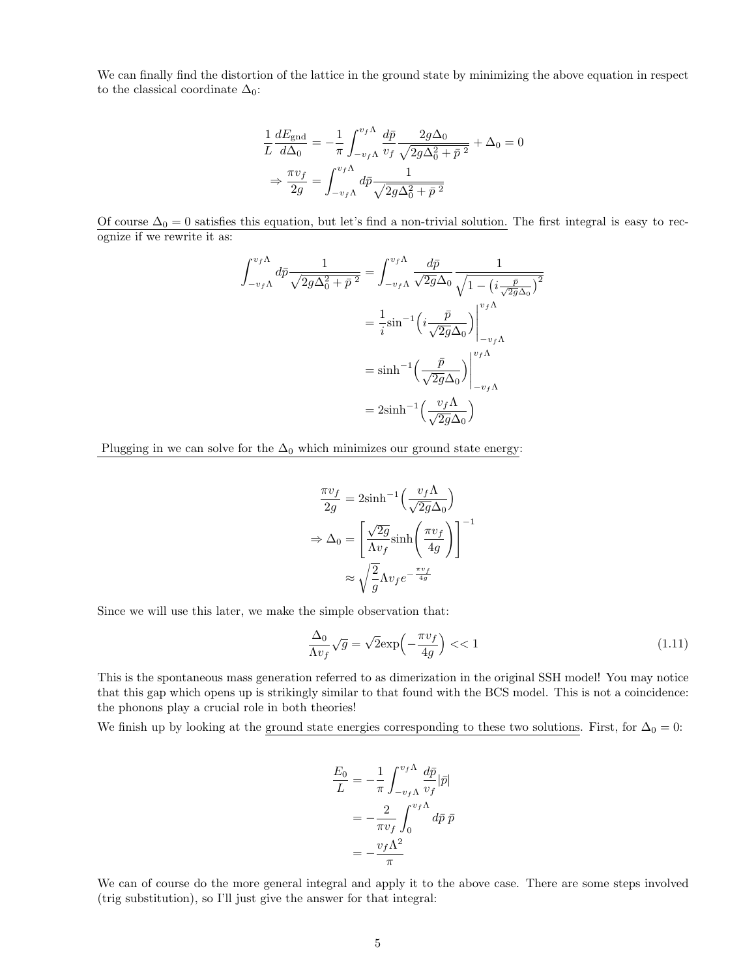We can finally find the distortion of the lattice in the ground state by minimizing the above equation in respect to the classical coordinate  $\Delta_0$ :

$$
\frac{1}{L} \frac{dE_{\text{gnd}}}{d\Delta_0} = -\frac{1}{\pi} \int_{-v_f \Lambda}^{v_f \Lambda} \frac{d\bar{p}}{v_f} \frac{2g\Delta_0}{\sqrt{2g\Delta_0^2 + \bar{p}^2}} + \Delta_0 = 0
$$

$$
\Rightarrow \frac{\pi v_f}{2g} = \int_{-v_f \Lambda}^{v_f \Lambda} d\bar{p} \frac{1}{\sqrt{2g\Delta_0^2 + \bar{p}^2}}
$$

Of course  $\Delta_0 = 0$  satisfies this equation, but let's find a non-trivial solution. The first integral is easy to recognize if we rewrite it as:

$$
\int_{-v_f\Lambda}^{v_f\Lambda} d\bar{p} \frac{1}{\sqrt{2g\Delta_0^2 + \bar{p}^2}} = \int_{-v_f\Lambda}^{v_f\Lambda} \frac{d\bar{p}}{\sqrt{2g\Delta_0}} \frac{1}{\sqrt{1 - (i\frac{\bar{p}}{\sqrt{2g\Delta_0}})^2}}
$$

$$
= \frac{1}{i} \sin^{-1} \left(i\frac{\bar{p}}{\sqrt{2g\Delta_0}}\right)\Big|_{-v_f\Lambda}^{v_f\Lambda}
$$

$$
= \sinh^{-1} \left(\frac{\bar{p}}{\sqrt{2g\Delta_0}}\right)\Big|_{-v_f\Lambda}^{v_f\Lambda}
$$

$$
= 2\sinh^{-1} \left(\frac{v_f\Lambda}{\sqrt{2g\Delta_0}}\right)
$$

Plugging in we can solve for the  $\Delta_0$  which minimizes our ground state energy:

$$
\frac{\pi v_f}{2g} = 2\sinh^{-1}\left(\frac{v_f \Lambda}{\sqrt{2g}\Delta_0}\right)
$$

$$
\Rightarrow \Delta_0 = \left[\frac{\sqrt{2g}}{\Lambda v_f} \sinh\left(\frac{\pi v_f}{4g}\right)\right]^{-1}
$$

$$
\approx \sqrt{\frac{2}{g}} \Lambda v_f e^{-\frac{\pi v_f}{4g}}
$$

Since we will use this later, we make the simple observation that:

$$
\frac{\Delta_0}{\Lambda v_f} \sqrt{g} = \sqrt{2} \exp\left(-\frac{\pi v_f}{4g}\right) \ll 1\tag{1.11}
$$

This is the spontaneous mass generation referred to as dimerization in the original SSH model! You may notice that this gap which opens up is strikingly similar to that found with the BCS model. This is not a coincidence: the phonons play a crucial role in both theories!

We finish up by looking at the ground state energies corresponding to these two solutions. First, for  $\Delta_0 = 0$ :

$$
\frac{E_0}{L} = -\frac{1}{\pi} \int_{-v_f \Lambda}^{v_f \Lambda} \frac{d\bar{p}}{v_f} |\bar{p}|
$$

$$
= -\frac{2}{\pi v_f} \int_0^{v_f \Lambda} d\bar{p} \,\bar{p}
$$

$$
= -\frac{v_f \Lambda^2}{\pi}
$$

We can of course do the more general integral and apply it to the above case. There are some steps involved (trig substitution), so I'll just give the answer for that integral: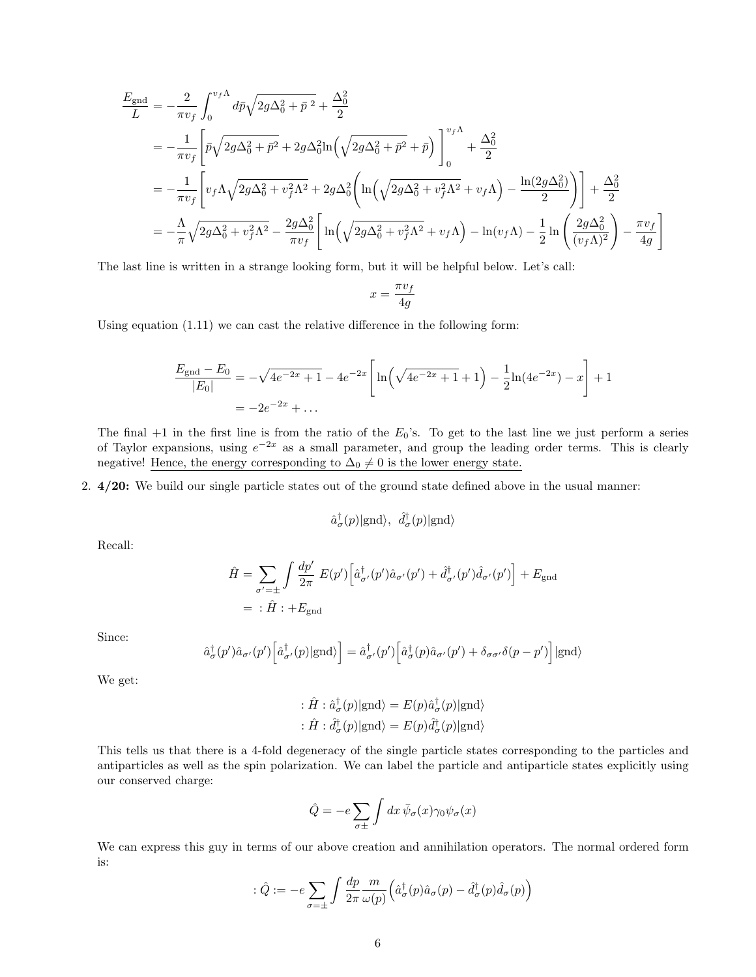$$
\frac{E_{\text{gnd}}}{L} = -\frac{2}{\pi v_f} \int_0^{v_f \Lambda} d\bar{p} \sqrt{2g \Delta_0^2 + \bar{p}^2} + \frac{\Delta_0^2}{2}
$$
\n
$$
= -\frac{1}{\pi v_f} \left[ \bar{p} \sqrt{2g \Delta_0^2 + \bar{p}^2 + 2g \Delta_0^2 \ln \left( \sqrt{2g \Delta_0^2 + \bar{p}^2} + \bar{p} \right)} \right]_0^{v_f \Lambda} + \frac{\Delta_0^2}{2}
$$
\n
$$
= -\frac{1}{\pi v_f} \left[ v_f \Lambda \sqrt{2g \Delta_0^2 + v_f^2 \Lambda^2} + 2g \Delta_0^2 \left( \ln \left( \sqrt{2g \Delta_0^2 + v_f^2 \Lambda^2} + v_f \Lambda \right) - \frac{\ln(2g \Delta_0^2)}{2} \right) \right] + \frac{\Delta_0^2}{2}
$$
\n
$$
= -\frac{\Lambda}{\pi} \sqrt{2g \Delta_0^2 + v_f^2 \Lambda^2} - \frac{2g \Delta_0^2}{\pi v_f} \left[ \ln \left( \sqrt{2g \Delta_0^2 + v_f^2 \Lambda^2} + v_f \Lambda \right) - \ln(v_f \Lambda) - \frac{1}{2} \ln \left( \frac{2g \Delta_0^2}{(v_f \Lambda)^2} \right) - \frac{\pi v_f}{4g} \right]
$$

The last line is written in a strange looking form, but it will be helpful below. Let's call:

$$
x = \frac{\pi v_f}{4g}
$$

Using equation (1.11) we can cast the relative difference in the following form:

$$
\frac{E_{\text{gnd}} - E_0}{|E_0|} = -\sqrt{4e^{-2x} + 1} - 4e^{-2x} \left[ \ln\left(\sqrt{4e^{-2x} + 1} + 1\right) - \frac{1}{2}\ln(4e^{-2x}) - x \right] + 1
$$
  
=  $-2e^{-2x} + \dots$ 

The final  $+1$  in the first line is from the ratio of the  $E_0$ 's. To get to the last line we just perform a series of Taylor expansions, using  $e^{-2x}$  as a small parameter, and group the leading order terms. This is clearly negative! Hence, the energy corresponding to  $\Delta_0 \neq 0$  is the lower energy state.

2. 4/20: We build our single particle states out of the ground state defined above in the usual manner:

$$
\hat{a}^{\dagger}_{\sigma}(p)|\text{gnd}\rangle, \hat{d}^{\dagger}_{\sigma}(p)|\text{gnd}\rangle
$$

Recall:

$$
\hat{H} = \sum_{\sigma'=\pm} \int \frac{dp'}{2\pi} E(p') \left[ \hat{a}^{\dagger}_{\sigma'}(p') \hat{a}_{\sigma'}(p') + \hat{d}^{\dagger}_{\sigma'}(p') \hat{d}_{\sigma'}(p') \right] + E_{\text{gnd}}
$$
\n
$$
= \hat{H} \hat{H} + E_{\text{gnd}}
$$

Since:

$$
\hat{a}^{\dagger}_{\sigma}(p')\hat{a}_{\sigma'}(p')\left[\hat{a}^{\dagger}_{\sigma'}(p)|\text{gnd}\rangle\right] = \hat{a}^{\dagger}_{\sigma'}(p')\left[\hat{a}^{\dagger}_{\sigma}(p)\hat{a}_{\sigma'}(p') + \delta_{\sigma\sigma'}\delta(p-p')\right]|\text{gnd}\rangle
$$

We get:

$$
\begin{aligned} &\colon \hat{H}:\hat{a}^{\dagger}_{\sigma}(p)|\text{gnd}\rangle = E(p)\hat{a}^{\dagger}_{\sigma}(p)|\text{gnd}\rangle \\ &\colon \hat{H}:\hat{d}^{\dagger}_{\sigma}(p)|\text{gnd}\rangle = E(p)\hat{d}^{\dagger}_{\sigma}(p)|\text{gnd}\rangle \end{aligned}
$$

This tells us that there is a 4-fold degeneracy of the single particle states corresponding to the particles and antiparticles as well as the spin polarization. We can label the particle and antiparticle states explicitly using our conserved charge:

$$
\hat{Q} = -e \sum_{\sigma \pm} \int dx \, \bar{\psi}_{\sigma}(x) \gamma_0 \psi_{\sigma}(x)
$$

We can express this guy in terms of our above creation and annihilation operators. The normal ordered form is:

$$
\hat{Q} := -e \sum_{\sigma = \pm} \int \frac{dp}{2\pi} \frac{m}{\omega(p)} \left( \hat{a}^{\dagger}_{\sigma}(p) \hat{a}_{\sigma}(p) - \hat{d}^{\dagger}_{\sigma}(p) \hat{d}_{\sigma}(p) \right)
$$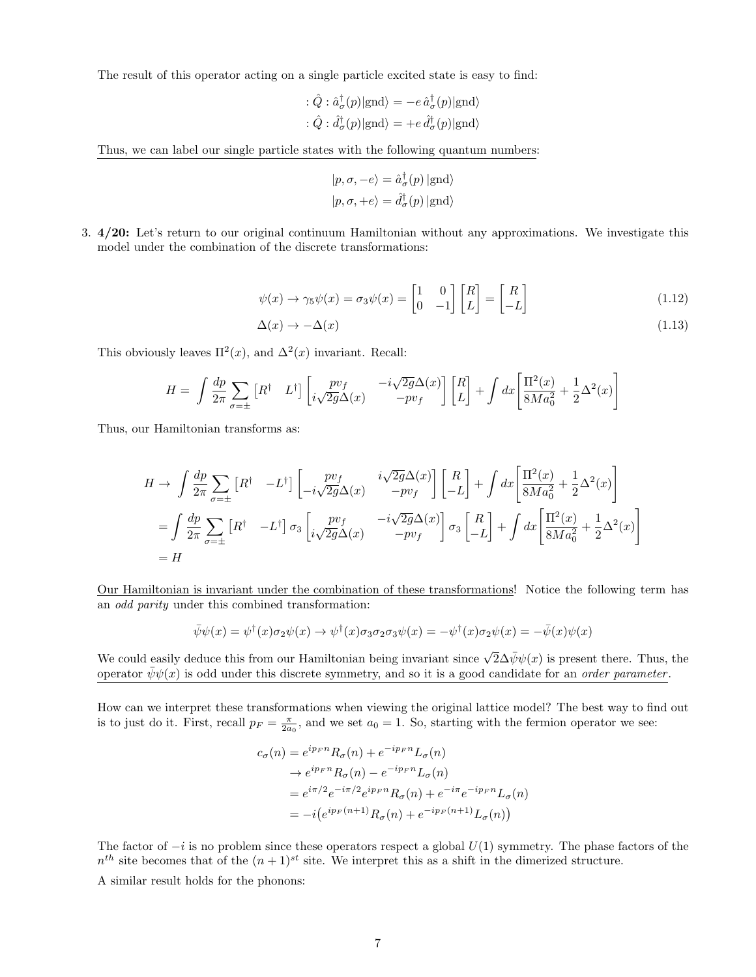The result of this operator acting on a single particle excited state is easy to find:

$$
\begin{aligned} : \hat{Q} : \hat{a}^{\dagger}_{\sigma}(p)|\text{gnd}\rangle & = -e \, \hat{a}^{\dagger}_{\sigma}(p)|\text{gnd}\rangle \\ : \hat{Q} : \hat{d}^{\dagger}_{\sigma}(p)|\text{gnd}\rangle & = +e \, \hat{d}^{\dagger}_{\sigma}(p)|\text{gnd}\rangle \end{aligned}
$$

Thus, we can label our single particle states with the following quantum numbers:

$$
|p, \sigma, -e\rangle = \hat{a}^{\dagger}_{\sigma}(p) | \text{gnd}\rangle
$$
  

$$
|p, \sigma, +e\rangle = \hat{d}^{\dagger}_{\sigma}(p) | \text{gnd}\rangle
$$

3. 4/20: Let's return to our original continuum Hamiltonian without any approximations. We investigate this model under the combination of the discrete transformations:

$$
\psi(x) \to \gamma_5 \psi(x) = \sigma_3 \psi(x) = \begin{bmatrix} 1 & 0 \\ 0 & -1 \end{bmatrix} \begin{bmatrix} R \\ L \end{bmatrix} = \begin{bmatrix} R \\ -L \end{bmatrix}
$$
(1.12)

$$
\Delta(x) \to -\Delta(x) \tag{1.13}
$$

This obviously leaves  $\Pi^2(x)$ , and  $\Delta^2(x)$  invariant. Recall:

$$
H = \int \frac{dp}{2\pi} \sum_{\sigma=\pm} \left[ R^{\dagger} \quad L^{\dagger} \right] \begin{bmatrix} pv_f \\ i\sqrt{2g} \Delta(x) \end{bmatrix} \begin{bmatrix} R \\ L \end{bmatrix} + \int dx \begin{bmatrix} \Pi^2(x) \\ 8Ma_0^2 + \frac{1}{2}\Delta^2(x) \end{bmatrix}
$$

Thus, our Hamiltonian transforms as:

$$
H \to \int \frac{dp}{2\pi} \sum_{\sigma=\pm} \left[ R^{\dagger} \quad -L^{\dagger} \right] \left[ \begin{array}{cc} pv_f & i\sqrt{2g} \Delta(x) \\ -i\sqrt{2g} \Delta(x) & -pv_f \end{array} \right] \left[ \begin{array}{c} R \\ -L \end{array} \right] + \int dx \left[ \frac{\Pi^2(x)}{8Ma_0^2} + \frac{1}{2}\Delta^2(x) \right]
$$
  
\n
$$
= \int \frac{dp}{2\pi} \sum_{\sigma=\pm} \left[ R^{\dagger} \quad -L^{\dagger} \right] \sigma_3 \left[ \begin{array}{cc} pv_f & -i\sqrt{2g} \Delta(x) \\ i\sqrt{2g} \Delta(x) & -pv_f \end{array} \right] \sigma_3 \left[ \begin{array}{c} R \\ -L \end{array} \right] + \int dx \left[ \frac{\Pi^2(x)}{8Ma_0^2} + \frac{1}{2}\Delta^2(x) \right]
$$
  
\n
$$
= H
$$

Our Hamiltonian is invariant under the combination of these transformations! Notice the following term has an odd parity under this combined transformation:

$$
\bar{\psi}\psi(x) = \psi^{\dagger}(x)\sigma_2\psi(x) \rightarrow \psi^{\dagger}(x)\sigma_3\sigma_2\sigma_3\psi(x) = -\psi^{\dagger}(x)\sigma_2\psi(x) = -\bar{\psi}(x)\psi(x)
$$

We could easily deduce this from our Hamiltonian being invariant since  $\sqrt{2}\Delta\bar{\psi}\psi(x)$  is present there. Thus, the operator  $\psi\psi(x)$  is odd under this discrete symmetry, and so it is a good candidate for an *order parameter*.

How can we interpret these transformations when viewing the original lattice model? The best way to find out is to just do it. First, recall  $p_F = \frac{\pi}{2a_0}$ , and we set  $a_0 = 1$ . So, starting with the fermion operator we see:

$$
c_{\sigma}(n) = e^{ip_F n} R_{\sigma}(n) + e^{-ip_F n} L_{\sigma}(n)
$$
  
\n
$$
\rightarrow e^{ip_F n} R_{\sigma}(n) - e^{-ip_F n} L_{\sigma}(n)
$$
  
\n
$$
= e^{i\pi/2} e^{-i\pi/2} e^{ip_F n} R_{\sigma}(n) + e^{-i\pi} e^{-ip_F n} L_{\sigma}(n)
$$
  
\n
$$
= -i (e^{ip_F(n+1)} R_{\sigma}(n) + e^{-ip_F(n+1)} L_{\sigma}(n))
$$

The factor of  $-i$  is no problem since these operators respect a global  $U(1)$  symmetry. The phase factors of the  $n^{th}$  site becomes that of the  $(n+1)^{st}$  site. We interpret this as a shift in the dimerized structure.

A similar result holds for the phonons: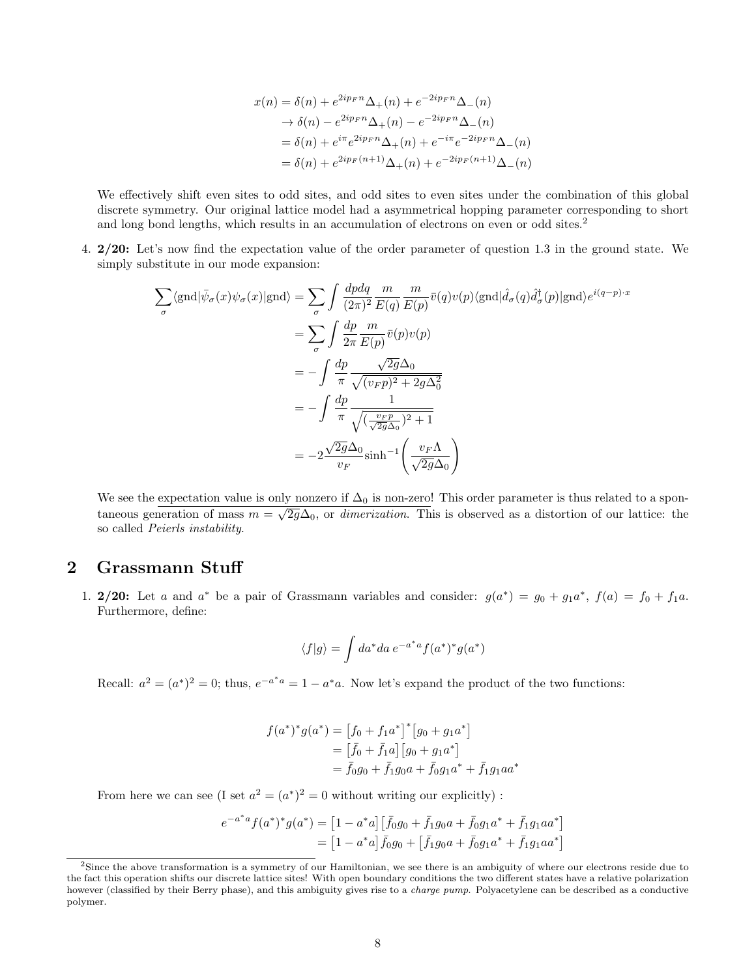$$
x(n) = \delta(n) + e^{2ip_F n} \Delta_+(n) + e^{-2ip_F n} \Delta_-(n)
$$
  
\n
$$
\rightarrow \delta(n) - e^{2ip_F n} \Delta_+(n) - e^{-2ip_F n} \Delta_-(n)
$$
  
\n
$$
= \delta(n) + e^{i\pi} e^{2ip_F n} \Delta_+(n) + e^{-i\pi} e^{-2ip_F n} \Delta_-(n)
$$
  
\n
$$
= \delta(n) + e^{2ip_F (n+1)} \Delta_+(n) + e^{-2ip_F (n+1)} \Delta_-(n)
$$

We effectively shift even sites to odd sites, and odd sites to even sites under the combination of this global discrete symmetry. Our original lattice model had a asymmetrical hopping parameter corresponding to short and long bond lengths, which results in an accumulation of electrons on even or odd sites.<sup>2</sup>

4. 2/20: Let's now find the expectation value of the order parameter of question 1.3 in the ground state. We simply substitute in our mode expansion:

$$
\sum_{\sigma} \langle \text{gnd} | \bar{\psi}_{\sigma}(x) \psi_{\sigma}(x) | \text{gnd} \rangle = \sum_{\sigma} \int \frac{dpdq}{(2\pi)^2} \frac{m}{E(q)} \frac{m}{E(p)} \bar{v}(q) v(p) \langle \text{gnd} | \hat{d}_{\sigma}(q) \hat{d}_{\sigma}^{\dagger}(p) | \text{gnd} \rangle e^{i(q-p)\cdot x}
$$

$$
= \sum_{\sigma} \int \frac{dp}{2\pi} \frac{m}{E(p)} \bar{v}(p) v(p)
$$

$$
= -\int \frac{dp}{\pi} \frac{\sqrt{2g}\Delta_0}{\sqrt{(v_F p)^2 + 2g\Delta_0^2}}
$$

$$
= -\int \frac{dp}{\pi} \frac{1}{\sqrt{(\frac{v_F p}{\sqrt{2g}\Delta_0})^2 + 1}}
$$

$$
= -2 \frac{\sqrt{2g}\Delta_0}{v_F} \sinh^{-1} \left(\frac{v_F \Lambda}{\sqrt{2g}\Delta_0}\right)
$$

We see the expectation value is only nonzero if  $\Delta_0$  is non-zero! This order parameter is thus related to a spontaneous generation of mass  $m = \sqrt{2g}\Delta_0$ , or dimerization. This is observed as a distortion of our lattice: the so called Peierls instability.

#### 2 Grassmann Stuff

1. 2/20: Let a and a<sup>\*</sup> be a pair of Grassmann variables and consider:  $g(a^*) = g_0 + g_1 a^*$ ,  $f(a) = f_0 + f_1 a$ . Furthermore, define:

$$
\langle f|g\rangle = \int da^* da \, e^{-a^*a} f(a^*)^* g(a^*)
$$

Recall:  $a^2 = (a^*)^2 = 0$ ; thus,  $e^{-a^*a} = 1 - a^*a$ . Now let's expand the product of the two functions:

$$
f(a^*)^*g(a^*) = [f_0 + f_1a^*]^*[g_0 + g_1a^*]
$$
  
=  $[\bar{f}_0 + \bar{f}_1a][g_0 + g_1a^*]$   
=  $\bar{f}_0g_0 + \bar{f}_1g_0a + \bar{f}_0g_1a^* + \bar{f}_1g_1aa^*$ 

From here we can see (I set  $a^2 = (a^*)^2 = 0$  without writing our explicitly) :

$$
e^{-a^*a} f(a^*)^* g(a^*) = [1 - a^*a] [\bar{f}_0 g_0 + \bar{f}_1 g_0 a + \bar{f}_0 g_1 a^* + \bar{f}_1 g_1 a a^*]
$$
  
= 
$$
[1 - a^*a] \bar{f}_0 g_0 + [\bar{f}_1 g_0 a + \bar{f}_0 g_1 a^* + \bar{f}_1 g_1 a a^*]
$$

<sup>&</sup>lt;sup>2</sup>Since the above transformation is a symmetry of our Hamiltonian, we see there is an ambiguity of where our electrons reside due to the fact this operation shifts our discrete lattice sites! With open boundary conditions the two different states have a relative polarization however (classified by their Berry phase), and this ambiguity gives rise to a *charge pump*. Polyacetylene can be described as a conductive polymer.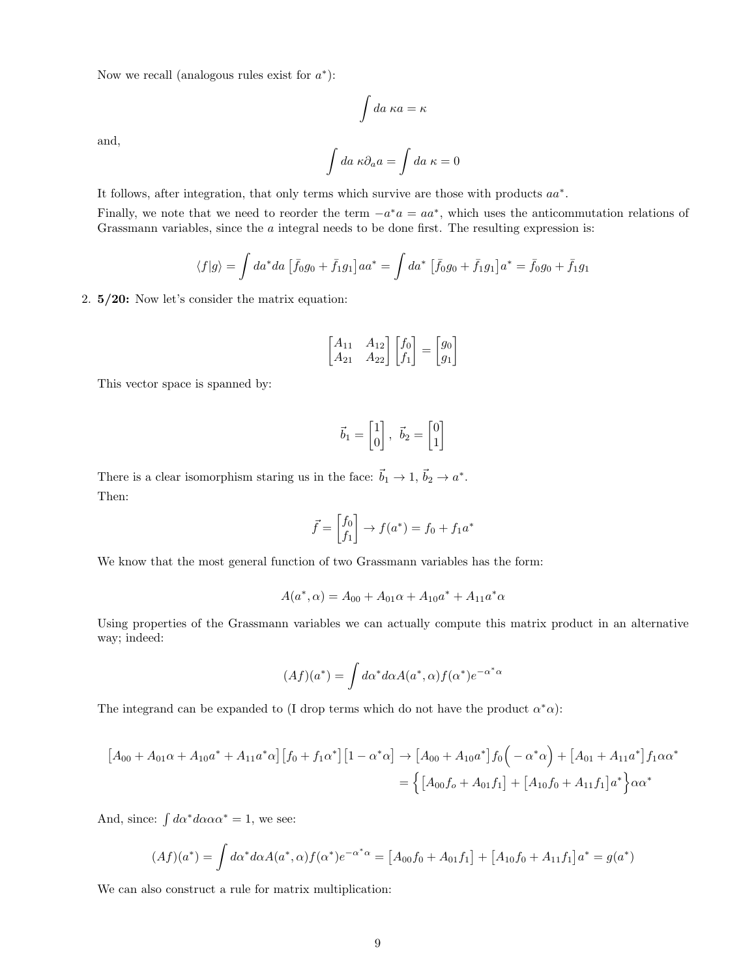Now we recall (analogous rules exist for  $a^*$ ):

$$
\int da \ \kappa a = \kappa
$$

and,

$$
\int da \; \kappa \partial_a a = \int da \; \kappa = 0
$$

It follows, after integration, that only terms which survive are those with products  $aa^*$ .

Finally, we note that we need to reorder the term  $-a^*a = aa^*$ , which uses the anticommutation relations of Grassmann variables, since the  $a$  integral needs to be done first. The resulting expression is:

$$
\langle f|g\rangle = \int da^* da [\bar{f}_0 g_0 + \bar{f}_1 g_1] a a^* = \int da^* [\bar{f}_0 g_0 + \bar{f}_1 g_1] a^* = \bar{f}_0 g_0 + \bar{f}_1 g_1
$$

2. 5/20: Now let's consider the matrix equation:

$$
\begin{bmatrix} A_{11} & A_{12} \\ A_{21} & A_{22} \end{bmatrix} \begin{bmatrix} f_0 \\ f_1 \end{bmatrix} = \begin{bmatrix} g_0 \\ g_1 \end{bmatrix}
$$

This vector space is spanned by:

$$
\vec{b}_1 = \begin{bmatrix} 1 \\ 0 \end{bmatrix}, \ \vec{b}_2 = \begin{bmatrix} 0 \\ 1 \end{bmatrix}
$$

There is a clear isomorphism staring us in the face:  $\vec{b}_1 \to 1$ ,  $\vec{b}_2 \to a^*$ . Then:

$$
\vec{f} = \begin{bmatrix} f_0 \\ f_1 \end{bmatrix} \rightarrow f(a^*) = f_0 + f_1 a^*
$$

We know that the most general function of two Grassmann variables has the form:

$$
A(a^*, \alpha) = A_{00} + A_{01}\alpha + A_{10}a^* + A_{11}a^*\alpha
$$

Using properties of the Grassmann variables we can actually compute this matrix product in an alternative way; indeed:

$$
(Af)(a^*) = \int d\alpha^* d\alpha A(a^*, \alpha) f(\alpha^*) e^{-\alpha^* \alpha}
$$

The integrand can be expanded to (I drop terms which do not have the product  $\alpha^* \alpha$ ):

$$
[A_{00} + A_{01}\alpha + A_{10}a^* + A_{11}a^*\alpha][f_0 + f_1\alpha^*][1 - \alpha^*\alpha] \rightarrow [A_{00} + A_{10}a^*]f_0(-\alpha^*\alpha) + [A_{01} + A_{11}a^*]f_1\alpha\alpha^*
$$
  
= 
$$
\{[A_{00}f_0 + A_{01}f_1] + [A_{10}f_0 + A_{11}f_1]a^*\}\alpha\alpha^*
$$

And, since:  $\int d\alpha^* d\alpha \alpha \alpha^* = 1$ , we see:

$$
(Af)(a^*) = \int d\alpha^* d\alpha A(a^*, \alpha) f(\alpha^*) e^{-\alpha^* \alpha} = [A_{00}f_0 + A_{01}f_1] + [A_{10}f_0 + A_{11}f_1]a^* = g(a^*)
$$

We can also construct a rule for matrix multiplication: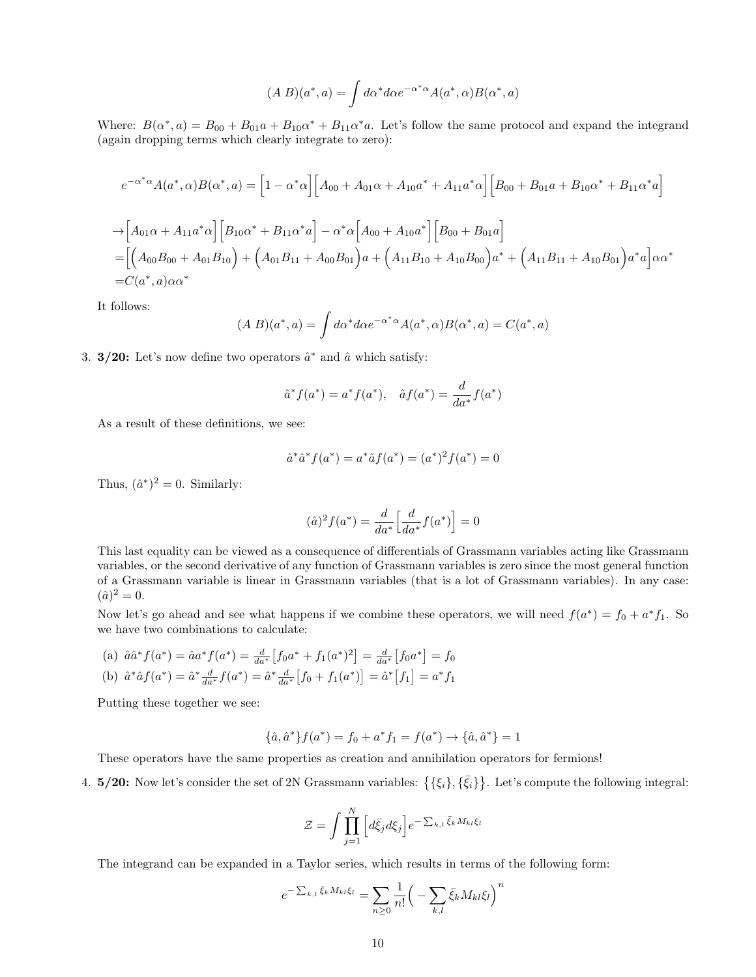$$
(A B)(a^*, a) = \int d\alpha^* d\alpha e^{-\alpha^* \alpha} A(a^*, \alpha) B(\alpha^*, a)
$$

Where:  $B(\alpha^*, a) = B_{00} + B_{01}a + B_{10}\alpha^* + B_{11}\alpha^* a$ . Let's follow the same protocol and expand the integrand (again dropping terms which clearly integrate to zero):

$$
e^{-\alpha^*\alpha}A(a^*,\alpha)B(\alpha^*,a) = \left[1 - \alpha^*\alpha\right] \left[A_{00} + A_{01}\alpha + A_{10}a^* + A_{11}a^*\alpha\right] \left[B_{00} + B_{01}a + B_{10}\alpha^* + B_{11}\alpha^*a\right]
$$
  
\n
$$
\rightarrow \left[A_{01}\alpha + A_{11}a^*\alpha\right] \left[B_{10}\alpha^* + B_{11}\alpha^*a\right] - \alpha^*\alpha \left[A_{00} + A_{10}a^*\right] \left[B_{00} + B_{01}a\right]
$$
  
\n
$$
= \left[\left(A_{00}B_{00} + A_{01}B_{10}\right) + \left(A_{01}B_{11} + A_{00}B_{01}\right)a + \left(A_{11}B_{10} + A_{10}B_{00}\right)a^* + \left(A_{11}B_{11} + A_{10}B_{01}\right)a^*a\right]\alpha\alpha^*
$$
  
\n
$$
= C(a^*,a)\alpha\alpha^*
$$

It follows:

$$
(A B)(a^*, a) = \int d\alpha^* d\alpha e^{-\alpha^* \alpha} A(a^*, \alpha) B(\alpha^*, a) = C(a^*, a)
$$

3. 3/20: Let's now define two operators  $\hat{a}^*$  and  $\hat{a}$  which satisfy:

$$
\hat{a}^* f(a^*) = a^* f(a^*), \quad \hat{a} f(a^*) = \frac{d}{da^*} f(a^*)
$$

As a result of these definitions, we see:

$$
\hat{a}^* \hat{a}^* f(a^*) = a^* \hat{a} f(a^*) = (a^*)^2 f(a^*) = 0
$$

Thus,  $(\hat{a}^*)^2 = 0$ . Similarly:

$$
(\hat{a})^2 f(a^*) = \frac{d}{da^*} \left[ \frac{d}{da^*} f(a^*) \right] = 0
$$

This last equality can be viewed as a consequence of differentials of Grassmann variables acting like Grassmann variables, or the second derivative of any function of Grassmann variables is zero since the most general function of a Grassmann variable is linear in Grassmann variables (that is a lot of Grassmann variables). In any case:  $(\hat{a})^2 = 0.$ 

Now let's go ahead and see what happens if we combine these operators, we will need  $f(a^*) = f_0 + a^* f_1$ . So we have two combinations to calculate:

(a) 
$$
\hat{a}\hat{a}^*f(a^*) = \hat{a}a^*f(a^*) = \frac{d}{da^*} \left[ f_0 a^* + f_1(a^*)^2 \right] = \frac{d}{da^*} \left[ f_0 a^* \right] = f_0
$$
  
\n(b)  $\hat{a}^*\hat{a}f(a^*) = \hat{a}^* \frac{d}{da^*}f(a^*) = \hat{a}^* \frac{d}{da^*} \left[ f_0 + f_1(a^*) \right] = \hat{a}^* \left[ f_1 \right] = a^*f_1$ 

Putting these together we see:

$$
\{\hat{a}, \hat{a}^*\} f(a^*) = f_0 + a^* f_1 = f(a^*) \rightarrow \{\hat{a}, \hat{a}^*\} = 1
$$

These operators have the same properties as creation and annihilation operators for fermions!

4. **5/20:** Now let's consider the set of 2N Grassmann variables:  $\{\{\xi_i\},\{\bar{\xi}_i\}\}\$ . Let's compute the following integral:

$$
\mathcal{Z} = \int \prod_{j=1}^{N} \left[ d\bar{\xi}_j d\xi_j \right] e^{-\sum_{k,l} \bar{\xi}_k M_{kl} \xi_l}
$$

The integrand can be expanded in a Taylor series, which results in terms of the following form:

$$
e^{-\sum_{k,l}\bar{\xi}_kM_{kl}\xi_l} = \sum_{n\geq 0} \frac{1}{n!} \Big(-\sum_{k,l}\bar{\xi}_kM_{kl}\xi_l\Big)^n
$$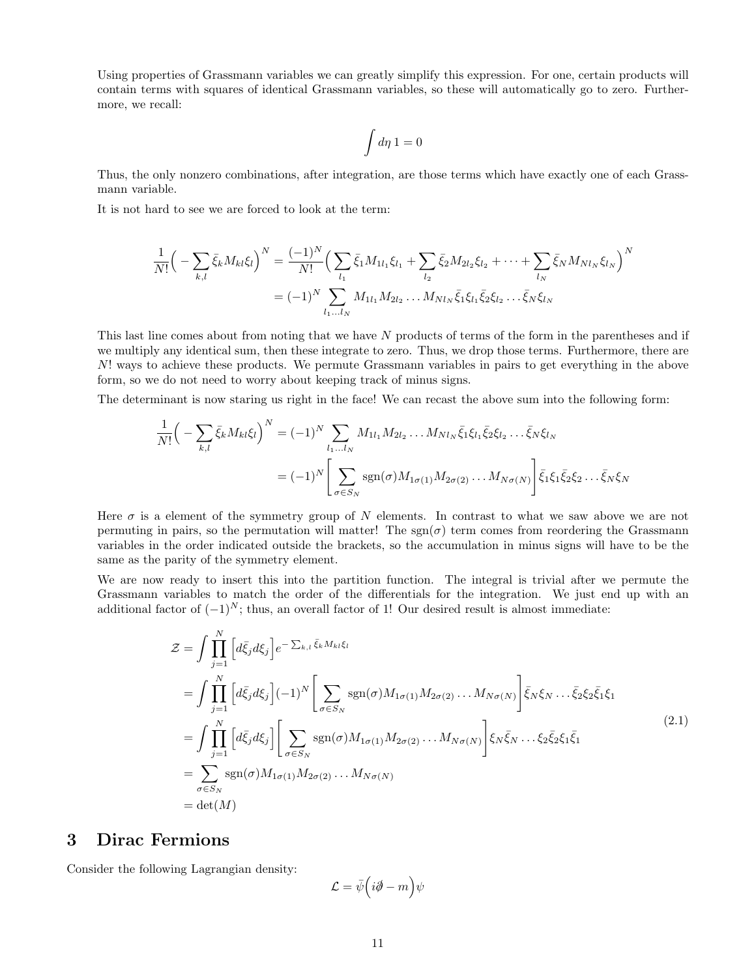Using properties of Grassmann variables we can greatly simplify this expression. For one, certain products will contain terms with squares of identical Grassmann variables, so these will automatically go to zero. Furthermore, we recall:

$$
\int d\eta\ 1=0
$$

Thus, the only nonzero combinations, after integration, are those terms which have exactly one of each Grassmann variable.

It is not hard to see we are forced to look at the term:

$$
\frac{1}{N!} \Big( -\sum_{k,l} \bar{\xi}_k M_{kl} \xi_l \Big)^N = \frac{(-1)^N}{N!} \Big( \sum_{l_1} \bar{\xi}_1 M_{1l_1} \xi_{l_1} + \sum_{l_2} \bar{\xi}_2 M_{2l_2} \xi_{l_2} + \dots + \sum_{l_N} \bar{\xi}_N M_{Nl_N} \xi_{l_N} \Big)^N \n= (-1)^N \sum_{l_1 \dots l_N} M_{1l_1} M_{2l_2} \dots M_{Nl_N} \bar{\xi}_1 \xi_{l_1} \bar{\xi}_2 \xi_{l_2} \dots \bar{\xi}_N \xi_{l_N}
$$

This last line comes about from noting that we have N products of terms of the form in the parentheses and if we multiply any identical sum, then these integrate to zero. Thus, we drop those terms. Furthermore, there are N! ways to achieve these products. We permute Grassmann variables in pairs to get everything in the above form, so we do not need to worry about keeping track of minus signs.

The determinant is now staring us right in the face! We can recast the above sum into the following form:

$$
\frac{1}{N!} \Big( -\sum_{k,l} \bar{\xi}_k M_{kl} \xi_l \Big)^N = (-1)^N \sum_{l_1...l_N} M_{1l_1} M_{2l_2} \dots M_{Nl_N} \bar{\xi}_1 \xi_{l_1} \bar{\xi}_2 \xi_{l_2} \dots \bar{\xi}_N \xi_{l_N}
$$
\n
$$
= (-1)^N \Bigg[ \sum_{\sigma \in S_N} \text{sgn}(\sigma) M_{1\sigma(1)} M_{2\sigma(2)} \dots M_{N\sigma(N)} \Bigg] \bar{\xi}_1 \xi_1 \bar{\xi}_2 \xi_2 \dots \bar{\xi}_N \xi_N
$$

Here  $\sigma$  is a element of the symmetry group of N elements. In contrast to what we saw above we are not permuting in pairs, so the permutation will matter! The  $sgn(\sigma)$  term comes from reordering the Grassmann variables in the order indicated outside the brackets, so the accumulation in minus signs will have to be the same as the parity of the symmetry element.

We are now ready to insert this into the partition function. The integral is trivial after we permute the Grassmann variables to match the order of the differentials for the integration. We just end up with an additional factor of  $(-1)^N$ ; thus, an overall factor of 1! Our desired result is almost immediate:

$$
\mathcal{Z} = \int \prod_{j=1}^{N} \left[ d\bar{\xi}_j d\xi_j \right] e^{-\sum_{k,l} \bar{\xi}_k M_{kl} \xi_l}
$$
  
\n
$$
= \int \prod_{j=1}^{N} \left[ d\bar{\xi}_j d\xi_j \right] (-1)^N \left[ \sum_{\sigma \in S_N} \text{sgn}(\sigma) M_{1\sigma(1)} M_{2\sigma(2)} \dots M_{N\sigma(N)} \right] \bar{\xi}_N \xi_N \dots \bar{\xi}_2 \xi_2 \bar{\xi}_1 \xi_1
$$
  
\n
$$
= \int \prod_{j=1}^{N} \left[ d\bar{\xi}_j d\xi_j \right] \left[ \sum_{\sigma \in S_N} \text{sgn}(\sigma) M_{1\sigma(1)} M_{2\sigma(2)} \dots M_{N\sigma(N)} \right] \xi_N \bar{\xi}_N \dots \xi_2 \bar{\xi}_2 \xi_1 \bar{\xi}_1
$$
  
\n
$$
= \sum_{\sigma \in S_N} \text{sgn}(\sigma) M_{1\sigma(1)} M_{2\sigma(2)} \dots M_{N\sigma(N)}
$$
  
\n
$$
= \det(M)
$$
 (2.1)

### 3 Dirac Fermions

Consider the following Lagrangian density:

$$
\mathcal{L}=\bar{\psi}\Big(i\partial\!\!\!/-m\Big)\psi
$$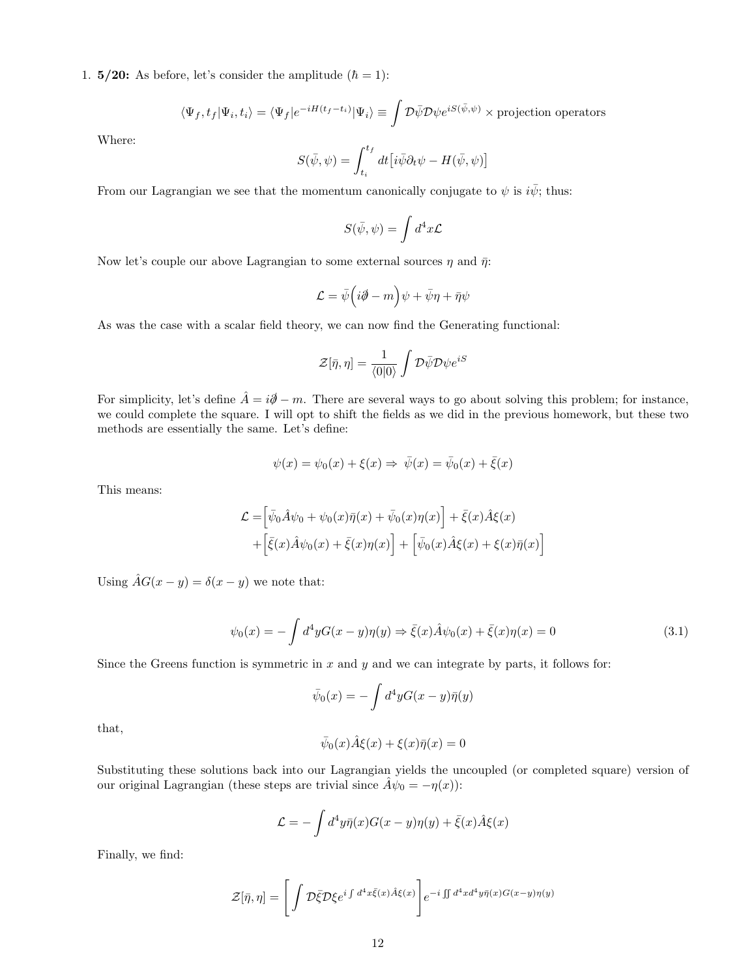1.  $5/20$ : As before, let's consider the amplitude  $(h = 1)$ :

$$
\langle \Psi_f, t_f | \Psi_i, t_i \rangle = \langle \Psi_f | e^{-iH(t_f - t_i)} | \Psi_i \rangle \equiv \int \mathcal{D}\bar{\psi} \mathcal{D}\psi e^{iS(\bar{\psi}, \psi)} \times \text{projection operators}
$$

Where:

$$
S(\bar{\psi}, \psi) = \int_{t_i}^{t_f} dt \left[ i \bar{\psi} \partial_t \psi - H(\bar{\psi}, \psi) \right]
$$

From our Lagrangian we see that the momentum canonically conjugate to  $\psi$  is  $i\bar{\psi}$ ; thus:

$$
S(\bar{\psi}, \psi) = \int d^4x \mathcal{L}
$$

Now let's couple our above Lagrangian to some external sources  $\eta$  and  $\bar{\eta}$ :

$$
\mathcal{L}=\bar{\psi}\Big(i\partial\!\!\!/-m\Big)\psi+\bar{\psi}\eta+\bar{\eta}\psi
$$

As was the case with a scalar field theory, we can now find the Generating functional:

$$
\mathcal{Z}[\bar{\eta},\eta]=\frac{1}{\langle 0|0\rangle}\int\mathcal{D}\bar{\psi}\mathcal{D}\psi e^{iS}
$$

For simplicity, let's define  $\hat{A} = i\partial - m$ . There are several ways to go about solving this problem; for instance, we could complete the square. I will opt to shift the fields as we did in the previous homework, but these two methods are essentially the same. Let's define:

$$
\psi(x) = \psi_0(x) + \xi(x) \Rightarrow \bar{\psi}(x) = \bar{\psi}_0(x) + \bar{\xi}(x)
$$

This means:

$$
\mathcal{L} = \left[ \bar{\psi}_0 \hat{A} \psi_0 + \psi_0(x) \bar{\eta}(x) + \bar{\psi}_0(x) \eta(x) \right] + \bar{\xi}(x) \hat{A} \xi(x) \n+ \left[ \bar{\xi}(x) \hat{A} \psi_0(x) + \bar{\xi}(x) \eta(x) \right] + \left[ \bar{\psi}_0(x) \hat{A} \xi(x) + \xi(x) \bar{\eta}(x) \right]
$$

Using  $\hat{A}G(x - y) = \delta(x - y)$  we note that:

$$
\psi_0(x) = -\int d^4y G(x - y)\eta(y) \Rightarrow \bar{\xi}(x)\hat{A}\psi_0(x) + \bar{\xi}(x)\eta(x) = 0
$$
\n(3.1)

Since the Greens function is symmetric in  $x$  and  $y$  and we can integrate by parts, it follows for:

$$
\bar{\psi}_0(x) = -\int d^4y G(x-y)\bar{\eta}(y)
$$

that,

$$
\bar{\psi}_0(x)\hat{A}\xi(x) + \xi(x)\bar{\eta}(x) = 0
$$

Substituting these solutions back into our Lagrangian yields the uncoupled (or completed square) version of our original Lagrangian (these steps are trivial since  $\hat{A}\psi_0 = -\eta(x)$ ):

$$
\mathcal{L} = -\int d^4y \bar{\eta}(x)G(x-y)\eta(y) + \bar{\xi}(x)\hat{A}\xi(x)
$$

Finally, we find:

$$
\mathcal{Z}[\bar{\eta}, \eta] = \left[ \int \mathcal{D}\bar{\xi} \mathcal{D}\xi e^{i \int d^4x \bar{\xi}(x) \hat{A}\xi(x)} \right] e^{-i \iint d^4x d^4y \bar{\eta}(x) G(x-y)\eta(y)}
$$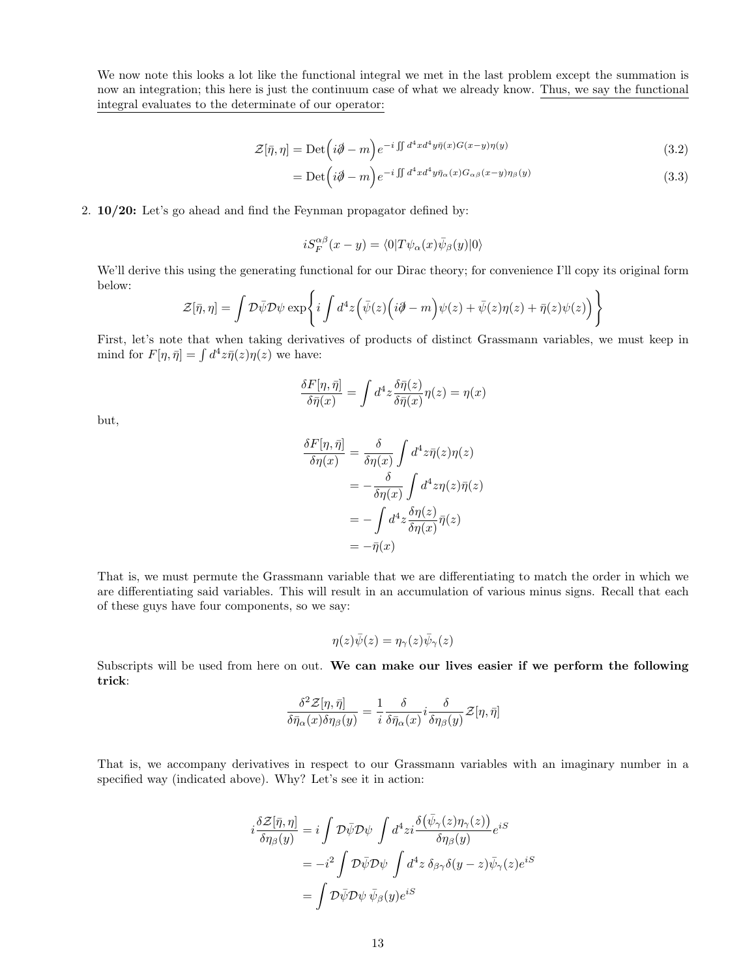We now note this looks a lot like the functional integral we met in the last problem except the summation is now an integration; this here is just the continuum case of what we already know. Thus, we say the functional integral evaluates to the determinate of our operator:

$$
\mathcal{Z}[\bar{\eta}, \eta] = \text{Det}\left(i\partial\!\!\!/- m\right)e^{-i\iint d^4x d^4y \bar{\eta}(x)G(x-y)\eta(y)}\tag{3.2}
$$

$$
= \mathrm{Det} \left( i\partial \hspace{-0.5em} \partial - m \right) e^{-i \int d^4 x d^4 y \bar{\eta}_{\alpha}(x) G_{\alpha\beta}(x-y) \eta_{\beta}(y)} \tag{3.3}
$$

2. 10/20: Let's go ahead and find the Feynman propagator defined by:

$$
iS_F^{\alpha\beta}(x-y) = \langle 0|T\psi_\alpha(x)\bar\psi_\beta(y)|0\rangle
$$

We'll derive this using the generating functional for our Dirac theory; for convenience I'll copy its original form below:

$$
\mathcal{Z}[\bar{\eta},\eta] = \int \mathcal{D}\bar{\psi}\mathcal{D}\psi \exp\left\{i\int d^4z \Big(\bar{\psi}(z)\Big(i\partial - m\Big)\psi(z) + \bar{\psi}(z)\eta(z) + \bar{\eta}(z)\psi(z)\Big)\right\}
$$

First, let's note that when taking derivatives of products of distinct Grassmann variables, we must keep in mind for  $F[\eta, \bar{\eta}] = \int d^4z \bar{\eta}(z)\eta(z)$  we have:

$$
\frac{\delta F[\eta,\bar{\eta}]}{\delta \bar{\eta}(x)} = \int d^4z \frac{\delta \bar{\eta}(z)}{\delta \bar{\eta}(x)} \eta(z) = \eta(x)
$$

but,

$$
\frac{\delta F[\eta, \bar{\eta}]}{\delta \eta(x)} = \frac{\delta}{\delta \eta(x)} \int d^4 z \bar{\eta}(z) \eta(z)
$$

$$
= -\frac{\delta}{\delta \eta(x)} \int d^4 z \eta(z) \bar{\eta}(z)
$$

$$
= -\int d^4 z \frac{\delta \eta(z)}{\delta \eta(x)} \bar{\eta}(z)
$$

$$
= -\bar{\eta}(x)
$$

That is, we must permute the Grassmann variable that we are differentiating to match the order in which we are differentiating said variables. This will result in an accumulation of various minus signs. Recall that each of these guys have four components, so we say:

$$
\eta(z)\bar{\psi}(z)=\eta_{\gamma}(z)\bar{\psi}_{\gamma}(z)
$$

Subscripts will be used from here on out. We can make our lives easier if we perform the following trick:

$$
\frac{\delta^2\mathcal{Z}[\eta,\bar{\eta}]}{\delta\bar{\eta}_{\alpha}(x)\delta\eta_{\beta}(y)}=\frac{1}{i}\frac{\delta}{\delta\bar{\eta}_{\alpha}(x)}i\frac{\delta}{\delta\eta_{\beta}(y)}\mathcal{Z}[\eta,\bar{\eta}]
$$

That is, we accompany derivatives in respect to our Grassmann variables with an imaginary number in a specified way (indicated above). Why? Let's see it in action:

$$
i\frac{\delta \mathcal{Z}[\bar{\eta},\eta]}{\delta \eta_{\beta}(y)} = i \int \mathcal{D}\bar{\psi}\mathcal{D}\psi \int d^4 z i \frac{\delta (\bar{\psi}_{\gamma}(z)\eta_{\gamma}(z))}{\delta \eta_{\beta}(y)} e^{iS}
$$
  

$$
= -i^2 \int \mathcal{D}\bar{\psi}\mathcal{D}\psi \int d^4 z \, \delta_{\beta\gamma}\delta(y-z)\bar{\psi}_{\gamma}(z)e^{iS}
$$
  

$$
= \int \mathcal{D}\bar{\psi}\mathcal{D}\psi \, \bar{\psi}_{\beta}(y)e^{iS}
$$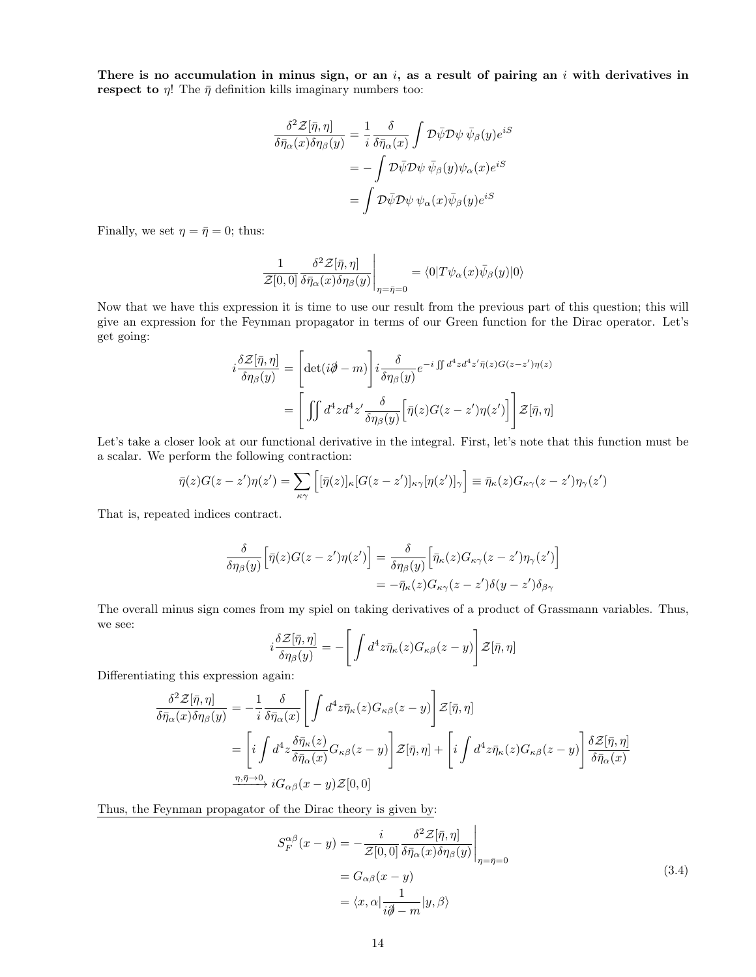There is no accumulation in minus sign, or an  $i$ , as a result of pairing an  $i$  with derivatives in **respect to**  $\eta$ ! The  $\bar{\eta}$  definition kills imaginary numbers too:

$$
\frac{\delta^2 \mathcal{Z}[\bar{\eta}, \eta]}{\delta \bar{\eta}_{\alpha}(x)\delta \eta_{\beta}(y)} = \frac{1}{i} \frac{\delta}{\delta \bar{\eta}_{\alpha}(x)} \int \mathcal{D}\bar{\psi} \mathcal{D}\psi \, \bar{\psi}_{\beta}(y) e^{iS}
$$

$$
= -\int \mathcal{D}\bar{\psi} \mathcal{D}\psi \, \bar{\psi}_{\beta}(y)\psi_{\alpha}(x) e^{iS}
$$

$$
= \int \mathcal{D}\bar{\psi} \mathcal{D}\psi \, \psi_{\alpha}(x)\bar{\psi}_{\beta}(y) e^{iS}
$$

Finally, we set  $\eta = \bar{\eta} = 0$ ; thus:

$$
\frac{1}{\mathcal{Z}[0,0]}\frac{\delta^2 \mathcal{Z}[\bar{\eta},\eta]}{\delta \bar{\eta}_{\alpha}(x)\delta \eta_{\beta}(y)}\Bigg|_{\eta=\bar{\eta}=0}=\langle 0|T\psi_{\alpha}(x)\bar{\psi}_{\beta}(y)|0\rangle
$$

Now that we have this expression it is time to use our result from the previous part of this question; this will give an expression for the Feynman propagator in terms of our Green function for the Dirac operator. Let's get going:

$$
i\frac{\delta \mathcal{Z}[\bar{\eta},\eta]}{\delta \eta_{\beta}(y)} = \left[ \det(i\partial \!\!\!/-m) \right] i\frac{\delta}{\delta \eta_{\beta}(y)} e^{-i \iint d^4 z d^4 z' \bar{\eta}(z) G(z-z')\eta(z)} \n= \left[ \iint d^4 z d^4 z' \frac{\delta}{\delta \eta_{\beta}(y)} \left[ \bar{\eta}(z) G(z-z')\eta(z') \right] \right] \mathcal{Z}[\bar{\eta},\eta]
$$

Let's take a closer look at our functional derivative in the integral. First, let's note that this function must be a scalar. We perform the following contraction:

$$
\bar{\eta}(z)G(z-z')\eta(z') = \sum_{\kappa\gamma} \left[ [\bar{\eta}(z)]_{\kappa} [G(z-z')]_{\kappa\gamma} [\eta(z')]_{\gamma} \right] \equiv \bar{\eta}_{\kappa}(z)G_{\kappa\gamma}(z-z')\eta_{\gamma}(z')
$$

That is, repeated indices contract.

$$
\frac{\delta}{\delta \eta_{\beta}(y)} \Big[ \bar{\eta}(z) G(z - z') \eta(z') \Big] = \frac{\delta}{\delta \eta_{\beta}(y)} \Big[ \bar{\eta}_{\kappa}(z) G_{\kappa \gamma}(z - z') \eta_{\gamma}(z') \Big] \n= - \bar{\eta}_{\kappa}(z) G_{\kappa \gamma}(z - z') \delta(y - z') \delta_{\beta \gamma}
$$

The overall minus sign comes from my spiel on taking derivatives of a product of Grassmann variables. Thus, we see:

$$
i\frac{\delta \mathcal{Z}[\bar{\eta},\eta]}{\delta \eta_{\beta}(y)} = -\left[\int d^4z \bar{\eta}_{\kappa}(z)G_{\kappa\beta}(z-y)\right] \mathcal{Z}[\bar{\eta},\eta]
$$

Differentiating this expression again:

$$
\frac{\delta^2 \mathcal{Z}[\bar{\eta}, \eta]}{\delta \bar{\eta}_{\alpha}(x)\delta \eta_{\beta}(y)} = -\frac{1}{i} \frac{\delta}{\delta \bar{\eta}_{\alpha}(x)} \Bigg[ \int d^4 z \bar{\eta}_{\kappa}(z) G_{\kappa\beta}(z-y) \Bigg] \mathcal{Z}[\bar{\eta}, \eta]
$$
\n
$$
= \Bigg[ i \int d^4 z \frac{\delta \bar{\eta}_{\kappa}(z)}{\delta \bar{\eta}_{\alpha}(x)} G_{\kappa\beta}(z-y) \Bigg] \mathcal{Z}[\bar{\eta}, \eta] + \Bigg[ i \int d^4 z \bar{\eta}_{\kappa}(z) G_{\kappa\beta}(z-y) \Bigg] \frac{\delta \mathcal{Z}[\bar{\eta}, \eta]}{\delta \bar{\eta}_{\alpha}(x)}
$$
\n
$$
\xrightarrow{\eta, \bar{\eta} \to 0} i G_{\alpha\beta}(x-y) \mathcal{Z}[0, 0]
$$

Thus, the Feynman propagator of the Dirac theory is given by:

$$
S_F^{\alpha\beta}(x-y) = -\frac{i}{\mathcal{Z}[0,0]} \frac{\delta^2 \mathcal{Z}[\bar{\eta},\eta]}{\delta \bar{\eta}_{\alpha}(x)\delta \eta_{\beta}(y)} \Big|_{\eta=\bar{\eta}=0}
$$
  
=  $G_{\alpha\beta}(x-y)$   
=  $\langle x, \alpha | \frac{1}{i\partial -m} | y, \beta \rangle$  (3.4)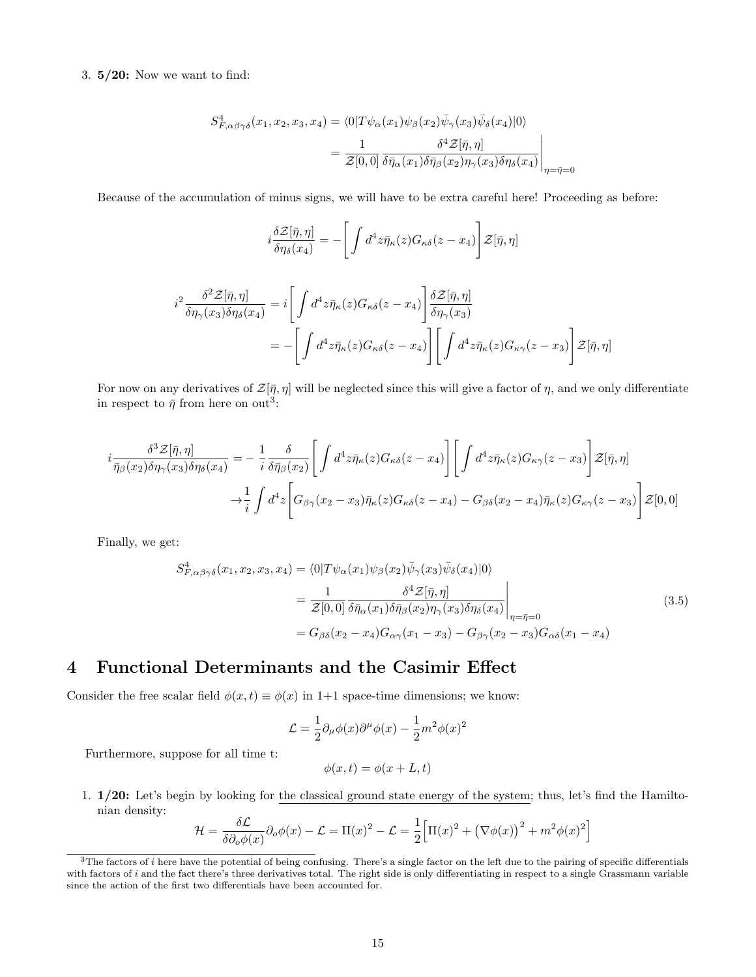#### 3. 5/20: Now we want to find:

$$
S_{F,\alpha\beta\gamma\delta}^{4}(x_{1}, x_{2}, x_{3}, x_{4}) = \langle 0|T\psi_{\alpha}(x_{1})\psi_{\beta}(x_{2})\bar{\psi}_{\gamma}(x_{3})\bar{\psi}_{\delta}(x_{4})|0\rangle
$$
  

$$
= \frac{1}{\mathcal{Z}[0,0]}\frac{\delta^{4}\mathcal{Z}[\bar{\eta},\eta]}{\delta\bar{\eta}_{\alpha}(x_{1})\delta\bar{\eta}_{\beta}(x_{2})\eta_{\gamma}(x_{3})\delta\eta_{\delta}(x_{4})}\Big|_{\eta=\bar{\eta}=0}
$$

Because of the accumulation of minus signs, we will have to be extra careful here! Proceeding as before:

$$
i\frac{\delta \mathcal{Z}[\bar{\eta},\eta]}{\delta \eta_{\delta}(x_4)} = -\left[\int d^4 z \bar{\eta}_{\kappa}(z) G_{\kappa \delta}(z - x_4)\right] \mathcal{Z}[\bar{\eta},\eta]
$$

$$
i^2 \frac{\delta^2 \mathcal{Z}[\bar{\eta},\eta]}{\delta \eta_{\gamma}(x_3) \delta \eta_{\delta}(x_4)} = i \left[\int d^4 z \bar{\eta}_{\kappa}(z) G_{\kappa \delta}(z - x_4)\right] \frac{\delta \mathcal{Z}[\bar{\eta},\eta]}{\delta \eta_{\gamma}(x_3)}
$$

$$
= -\left[\int d^4 z \bar{\eta}_{\kappa}(z) G_{\kappa \delta}(z - x_4)\right] \left[\int d^4 z \bar{\eta}_{\kappa}(z) G_{\kappa \gamma}(z - x_3)\right] \mathcal{Z}[\bar{\eta},\eta]
$$

For now on any derivatives of  $\mathcal{Z}[\bar{\eta}, \eta]$  will be neglected since this will give a factor of  $\eta$ , and we only differentiate in respect to  $\bar{\eta}$  from here on out<sup>3</sup>:

$$
i\frac{\delta^3 \mathcal{Z}[\bar{\eta},\eta]}{\bar{\eta}_{\beta}(x_2)\delta\eta_{\gamma}(x_3)\delta\eta_{\delta}(x_4)} = -\frac{1}{i}\frac{\delta}{\delta\bar{\eta}_{\beta}(x_2)} \Bigg[ \int d^4 z \bar{\eta}_{\kappa}(z)G_{\kappa\delta}(z-x_4) \Bigg] \Bigg[ \int d^4 z \bar{\eta}_{\kappa}(z)G_{\kappa\gamma}(z-x_3) \Bigg] \mathcal{Z}[\bar{\eta},\eta] \n\rightarrow \frac{1}{i} \int d^4 z \Bigg[ G_{\beta\gamma}(x_2-x_3)\bar{\eta}_{\kappa}(z)G_{\kappa\delta}(z-x_4) - G_{\beta\delta}(x_2-x_4)\bar{\eta}_{\kappa}(z)G_{\kappa\gamma}(z-x_3) \Bigg] \mathcal{Z}[0,0]
$$

Finally, we get:

$$
S_{F,\alpha\beta\gamma\delta}^{4}(x_{1},x_{2},x_{3},x_{4}) = \langle 0|T\psi_{\alpha}(x_{1})\psi_{\beta}(x_{2})\bar{\psi}_{\gamma}(x_{3})\bar{\psi}_{\delta}(x_{4})|0\rangle
$$
  
\n
$$
= \frac{1}{\mathcal{Z}[0,0]}\frac{\delta^{4}\mathcal{Z}[\bar{\eta},\eta]}{\delta\bar{\eta}_{\alpha}(x_{1})\delta\bar{\eta}_{\beta}(x_{2})\eta_{\gamma}(x_{3})\delta\eta_{\delta}(x_{4})}\Big|_{\eta=\bar{\eta}=0}
$$
  
\n
$$
= G_{\beta\delta}(x_{2}-x_{4})G_{\alpha\gamma}(x_{1}-x_{3})-G_{\beta\gamma}(x_{2}-x_{3})G_{\alpha\delta}(x_{1}-x_{4})
$$
\n(3.5)

## 4 Functional Determinants and the Casimir Effect

Consider the free scalar field  $\phi(x,t) \equiv \phi(x)$  in 1+1 space-time dimensions; we know:

$$
\mathcal{L}=\frac{1}{2}\partial_\mu\phi(x)\partial^\mu\phi(x)-\frac{1}{2}m^2\phi(x)^2
$$

Furthermore, suppose for all time t:

$$
\phi(x,t) = \phi(x+L,t)
$$

1. 1/20: Let's begin by looking for the classical ground state energy of the system; thus, let's find the Hamiltonian density:

$$
\mathcal{H} = \frac{\delta \mathcal{L}}{\delta \partial_{\phi} \phi(x)} \partial_{\phi} \phi(x) - \mathcal{L} = \Pi(x)^2 - \mathcal{L} = \frac{1}{2} \Big[ \Pi(x)^2 + \big(\nabla \phi(x)\big)^2 + m^2 \phi(x)^2 \Big]
$$

 $3$ The factors of *i* here have the potential of being confusing. There's a single factor on the left due to the pairing of specific differentials with factors of i and the fact there's three derivatives total. The right side is only differentiating in respect to a single Grassmann variable since the action of the first two differentials have been accounted for.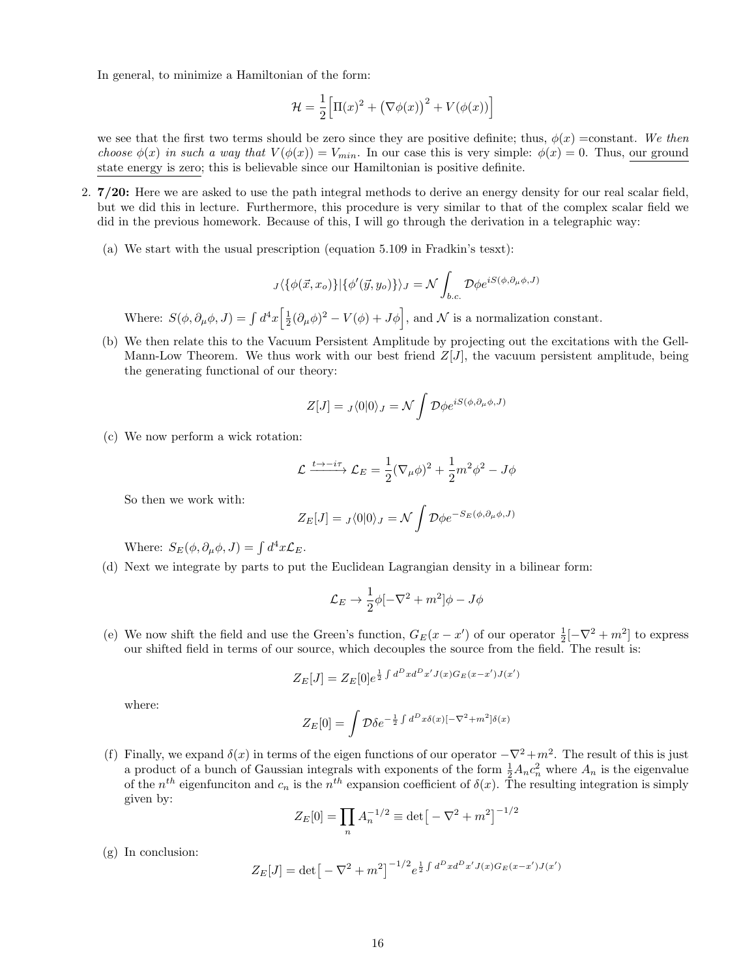In general, to minimize a Hamiltonian of the form:

$$
\mathcal{H} = \frac{1}{2} \Big[ \Pi(x)^2 + \big(\nabla\phi(x)\big)^2 + V(\phi(x)) \Big]
$$

we see that the first two terms should be zero since they are positive definite; thus,  $\phi(x)$  =constant. We then choose  $\phi(x)$  in such a way that  $V(\phi(x)) = V_{min}$ . In our case this is very simple:  $\phi(x) = 0$ . Thus, our ground state energy is zero; this is believable since our Hamiltonian is positive definite.

- 2. 7/20: Here we are asked to use the path integral methods to derive an energy density for our real scalar field, but we did this in lecture. Furthermore, this procedure is very similar to that of the complex scalar field we did in the previous homework. Because of this, I will go through the derivation in a telegraphic way:
	- (a) We start with the usual prescription (equation 5.109 in Fradkin's tesxt):

$$
_{J}\langle \{\phi(\vec{x},x_{o})\}|\{\phi'(\vec{y},y_{o})\}\rangle _{J}=\mathcal{N}\int_{b.c.}\mathcal{D}\phi e^{iS(\phi,\partial_{\mu}\phi,J)}
$$

Where:  $S(\phi, \partial_{\mu}\phi, J) = \int d^4x \left[ \frac{1}{2} (\partial_{\mu}\phi)^2 - V(\phi) + J\phi \right]$ , and N is a normalization constant.

(b) We then relate this to the Vacuum Persistent Amplitude by projecting out the excitations with the Gell-Mann-Low Theorem. We thus work with our best friend  $Z[J]$ , the vacuum persistent amplitude, being the generating functional of our theory:

$$
Z[J] = J\langle 0|0 \rangle_J = \mathcal{N} \int \mathcal{D}\phi e^{iS(\phi,\partial_\mu \phi, J)}
$$

(c) We now perform a wick rotation:

$$
\mathcal{L} \xrightarrow{t \to -i\tau} \mathcal{L}_E = \frac{1}{2} (\nabla_\mu \phi)^2 + \frac{1}{2} m^2 \phi^2 - J\phi
$$

So then we work with:

$$
Z_E[J] = J \langle 0|0 \rangle_J = \mathcal{N} \int \mathcal{D} \phi e^{-S_E(\phi, \partial_\mu \phi, J)}
$$

Where:  $S_E(\phi, \partial_\mu \phi, J) = \int d^4x \mathcal{L}_E$ .

(d) Next we integrate by parts to put the Euclidean Lagrangian density in a bilinear form:

$$
\mathcal{L}_E \to \frac{1}{2}\phi[-\nabla^2 + m^2]\phi - J\phi
$$

(e) We now shift the field and use the Green's function,  $G_E(x - x')$  of our operator  $\frac{1}{2}[-\nabla^2 + m^2]$  to express our shifted field in terms of our source, which decouples the source from the field. The result is:

$$
Z_E[J] = Z_E[0]e^{\frac{1}{2}\int d^D x d^D x' J(x)G_E(x-x')J(x')}
$$

where:

$$
Z_E[0] = \int \mathcal{D}\delta e^{-\frac{1}{2}\int d^D x \delta(x) \left[-\nabla^2 + m^2\right] \delta(x)}
$$

(f) Finally, we expand  $\delta(x)$  in terms of the eigen functions of our operator  $-\nabla^2 + m^2$ . The result of this is just a product of a bunch of Gaussian integrals with exponents of the form  $\frac{1}{2}A_n c_n^2$  where  $A_n$  is the eigenvalue of the  $n^{th}$  eigenfunciton and  $c_n$  is the  $n^{th}$  expansion coefficient of  $\delta(x)$ . The resulting integration is simply given by:

$$
Z_E[0] = \prod_n A_n^{-1/2} \equiv \det \left[ -\nabla^2 + m^2 \right]^{-1/2}
$$

(g) In conclusion:

$$
Z_E[J] = \det \left[ -\nabla^2 + m^2 \right]^{-1/2} e^{\frac{1}{2} \int d^D x d^D x' J(x) G_E(x - x') J(x')}
$$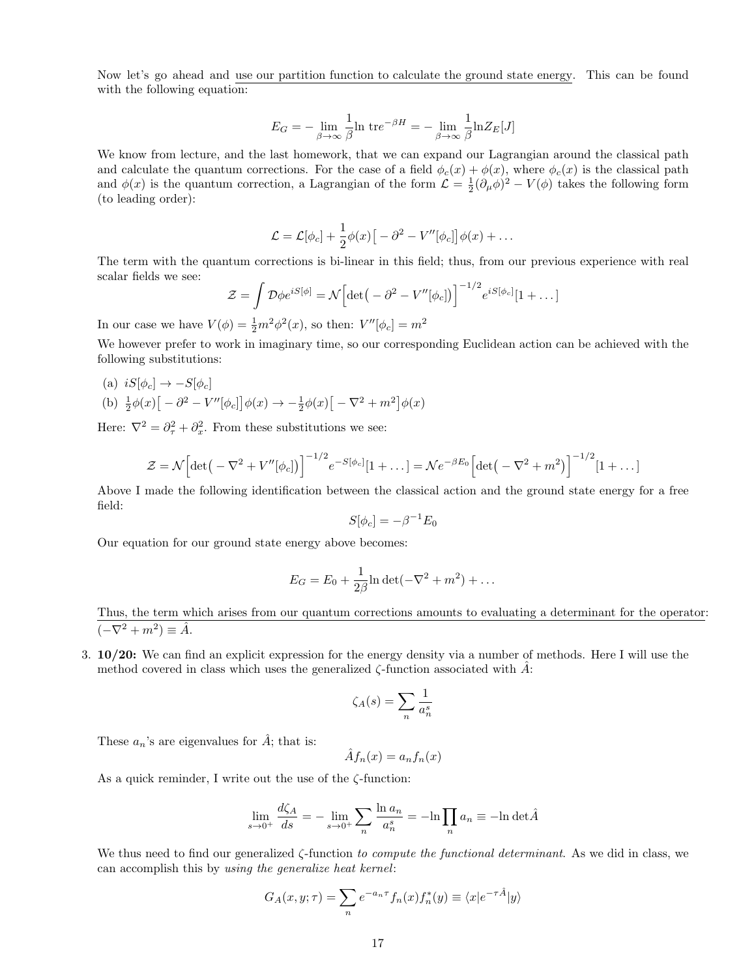Now let's go ahead and use our partition function to calculate the ground state energy. This can be found with the following equation:

$$
E_G = -\lim_{\beta \to \infty} \frac{1}{\beta} \ln \, \mathrm{tr} e^{-\beta H} = -\lim_{\beta \to \infty} \frac{1}{\beta} \ln Z_E[J]
$$

We know from lecture, and the last homework, that we can expand our Lagrangian around the classical path and calculate the quantum corrections. For the case of a field  $\phi_c(x) + \phi(x)$ , where  $\phi_c(x)$  is the classical path and  $\phi(x)$  is the quantum correction, a Lagrangian of the form  $\mathcal{L} = \frac{1}{2}(\partial_{\mu}\phi)^{2} - V(\phi)$  takes the following form (to leading order):

$$
\mathcal{L} = \mathcal{L}[\phi_c] + \frac{1}{2}\phi(x)\big[-\partial^2 - V''[\phi_c]\big]\phi(x) + \dots
$$

The term with the quantum corrections is bi-linear in this field; thus, from our previous experience with real scalar fields we see:

$$
\mathcal{Z} = \int \mathcal{D}\phi e^{iS[\phi]} = \mathcal{N} \Big[ \det \big( -\partial^2 - V''[\phi_c] \big) \Big]^{-1/2} e^{iS[\phi_c]} [1 + \dots]
$$

In our case we have  $V(\phi) = \frac{1}{2}m^2\phi^2(x)$ , so then:  $V''[\phi_c] = m^2$ 

We however prefer to work in imaginary time, so our corresponding Euclidean action can be achieved with the following substitutions:

- (a)  $iS[\phi_c] \rightarrow -S[\phi_c]$
- (b)  $\frac{1}{2}\phi(x)\left[-\partial^2 V''[\phi_c]\right]\phi(x) \to -\frac{1}{2}\phi(x)\left[-\nabla^2 + m^2\right]\phi(x)$

Here:  $\nabla^2 = \partial_{\tau}^2 + \partial_x^2$ . From these substitutions we see:

$$
\mathcal{Z} = \mathcal{N} \Big[ \det \big( -\nabla^2 + V''[\phi_c] \big) \Big]^{-1/2} e^{-S[\phi_c]} [1 + \dots] = \mathcal{N} e^{-\beta E_0} \Big[ \det \big( -\nabla^2 + m^2 \big) \Big]^{-1/2} [1 + \dots]
$$

Above I made the following identification between the classical action and the ground state energy for a free field:

$$
S[\phi_c] = -\beta^{-1} E_0
$$

Our equation for our ground state energy above becomes:

$$
E_G = E_0 + \frac{1}{2\beta} \ln \det(-\nabla^2 + m^2) + \dots
$$

Thus, the term which arises from our quantum corrections amounts to evaluating a determinant for the operator:  $(-\nabla^2 + m^2) \equiv \hat{A}.$ 

3. 10/20: We can find an explicit expression for the energy density via a number of methods. Here I will use the method covered in class which uses the generalized  $\zeta$ -function associated with  $\hat{A}$ :

$$
\zeta_A(s) = \sum_n \frac{1}{a_n^s}
$$

These  $a_n$ 's are eigenvalues for  $\hat{A}$ ; that is:

$$
\hat{A}f_n(x) = a_n f_n(x)
$$

As a quick reminder, I write out the use of the ζ-function:

$$
\lim_{s \to 0^+} \frac{d\zeta_A}{ds} = -\lim_{s \to 0^+} \sum_n \frac{\ln a_n}{a_n^s} = -\ln \prod_n a_n \equiv -\ln \det \hat{A}
$$

We thus need to find our generalized ζ-function to compute the functional determinant. As we did in class, we can accomplish this by using the generalize heat kernel:

$$
G_A(x, y; \tau) = \sum_n e^{-a_n \tau} f_n(x) f_n^*(y) \equiv \langle x | e^{-\tau \hat{A}} | y \rangle
$$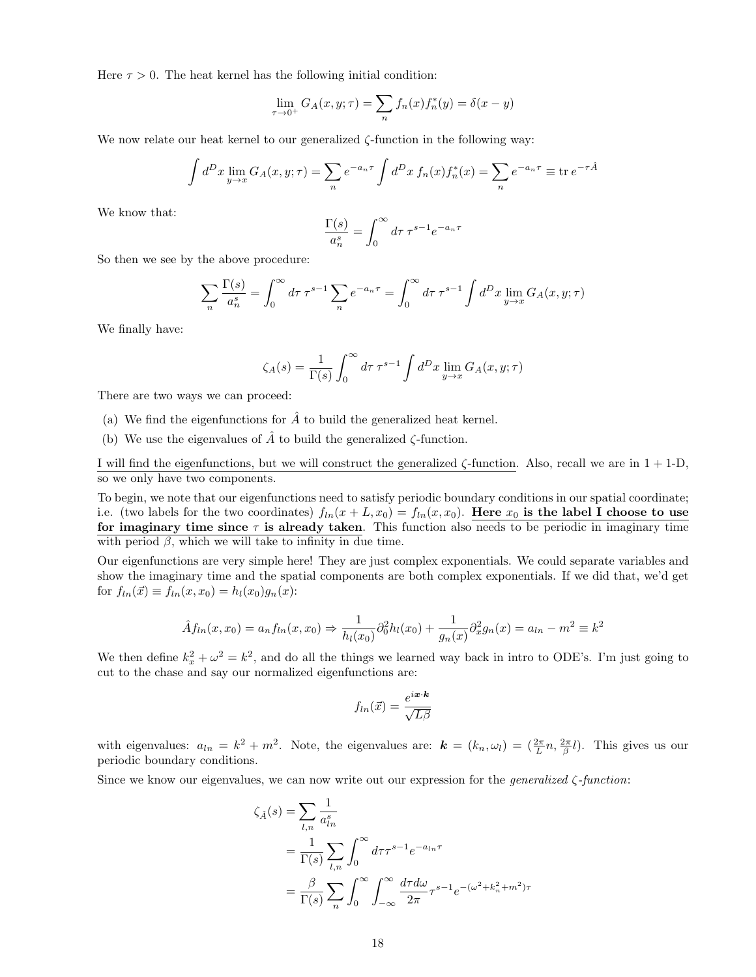Here  $\tau > 0$ . The heat kernel has the following initial condition:

$$
\lim_{\tau \to 0^+} G_A(x, y; \tau) = \sum_n f_n(x) f_n^*(y) = \delta(x - y)
$$

We now relate our heat kernel to our generalized  $\zeta$ -function in the following way:

$$
\int d^D x \lim_{y \to x} G_A(x, y; \tau) = \sum_n e^{-a_n \tau} \int d^D x f_n(x) f_n^*(x) = \sum_n e^{-a_n \tau} \equiv \text{tr } e^{-\tau \hat{A}}
$$

We know that:

$$
\frac{\Gamma(s)}{a_n^s} = \int_0^\infty d\tau \,\tau^{s-1} e^{-a_n \tau}
$$

So then we see by the above procedure:

$$
\sum_{n} \frac{\Gamma(s)}{a_n^s} = \int_0^\infty d\tau \,\tau^{s-1} \sum_{n} e^{-a_n \tau} = \int_0^\infty d\tau \,\tau^{s-1} \int d^D x \lim_{y \to x} G_A(x, y; \tau)
$$

We finally have:

$$
\zeta_A(s) = \frac{1}{\Gamma(s)} \int_0^\infty d\tau \,\tau^{s-1} \int d^D x \lim_{y \to x} G_A(x, y; \tau)
$$

There are two ways we can proceed:

- (a) We find the eigenfunctions for  $\hat{A}$  to build the generalized heat kernel.
- (b) We use the eigenvalues of  $\tilde{A}$  to build the generalized  $\zeta$ -function.

I will find the eigenfunctions, but we will construct the generalized  $\zeta$ -function. Also, recall we are in  $1 + 1$ -D, so we only have two components.

To begin, we note that our eigenfunctions need to satisfy periodic boundary conditions in our spatial coordinate; i.e. (two labels for the two coordinates)  $f_{ln}(x + L, x_0) = f_{ln}(x, x_0)$ . Here  $x_0$  is the label I choose to use for imaginary time since  $\tau$  is already taken. This function also needs to be periodic in imaginary time with period  $\beta$ , which we will take to infinity in due time.

Our eigenfunctions are very simple here! They are just complex exponentials. We could separate variables and show the imaginary time and the spatial components are both complex exponentials. If we did that, we'd get for  $f_{ln}(\vec{x}) \equiv f_{ln}(x, x_0) = h_l(x_0)g_n(x)$ :

$$
\hat{A}f_{ln}(x, x_0) = a_n f_{ln}(x, x_0) \Rightarrow \frac{1}{h_l(x_0)} \partial_0^2 h_l(x_0) + \frac{1}{g_n(x)} \partial_x^2 g_n(x) = a_{ln} - m^2 \equiv k^2
$$

We then define  $k_x^2 + \omega^2 = k^2$ , and do all the things we learned way back in intro to ODE's. I'm just going to cut to the chase and say our normalized eigenfunctions are:

$$
f_{ln}(\vec{x}) = \frac{e^{i\bm{x} \cdot \bm{k}}}{\sqrt{L\beta}}
$$

with eigenvalues:  $a_{ln} = k^2 + m^2$ . Note, the eigenvalues are:  $\mathbf{k} = (k_n, \omega_l) = (\frac{2\pi}{L} n, \frac{2\pi}{\beta} l)$ . This gives us our periodic boundary conditions.

Since we know our eigenvalues, we can now write out our expression for the *generalized*  $\zeta$ -function:

$$
\zeta_{\hat{A}}(s) = \sum_{l,n} \frac{1}{a_{ln}^s}
$$
  
=  $\frac{1}{\Gamma(s)} \sum_{l,n} \int_0^\infty d\tau \tau^{s-1} e^{-a_{ln}\tau}$   
=  $\frac{\beta}{\Gamma(s)} \sum_n \int_0^\infty \int_{-\infty}^\infty \frac{d\tau d\omega}{2\pi} \tau^{s-1} e^{-(\omega^2 + k_n^2 + m^2)\tau}$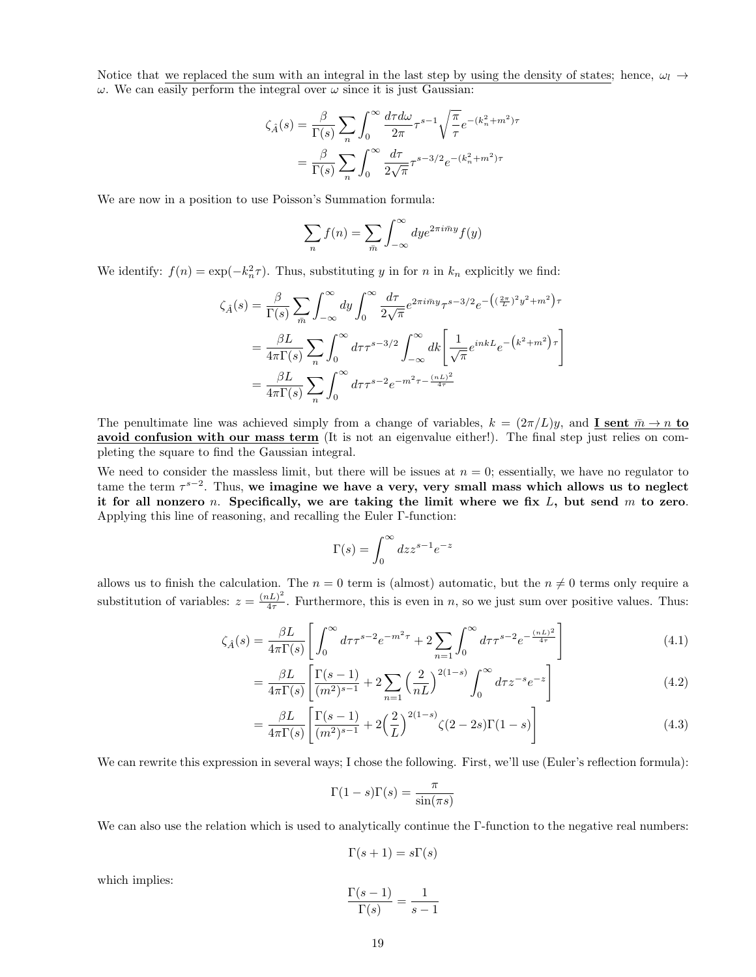Notice that we replaced the sum with an integral in the last step by using the density of states; hence,  $\omega_l \rightarrow$  $ω$ . We can easily perform the integral over  $ω$  since it is just Gaussian:

$$
\zeta_{\hat{A}}(s) = \frac{\beta}{\Gamma(s)} \sum_{n} \int_0^{\infty} \frac{d\tau d\omega}{2\pi} \tau^{s-1} \sqrt{\frac{\pi}{\tau}} e^{-(k_n^2 + m^2)\tau}
$$

$$
= \frac{\beta}{\Gamma(s)} \sum_{n} \int_0^{\infty} \frac{d\tau}{2\sqrt{\pi}} \tau^{s-3/2} e^{-(k_n^2 + m^2)\tau}
$$

We are now in a position to use Poisson's Summation formula:

$$
\sum_{n} f(n) = \sum_{\bar{m}} \int_{-\infty}^{\infty} dy e^{2\pi i \bar{m}y} f(y)
$$

We identify:  $f(n) = \exp(-k_n^2 \tau)$ . Thus, substituting y in for n in  $k_n$  explicitly we find:

$$
\zeta_{\hat{A}}(s) = \frac{\beta}{\Gamma(s)} \sum_{\bar{m}} \int_{-\infty}^{\infty} dy \int_0^{\infty} \frac{d\tau}{2\sqrt{\pi}} e^{2\pi i \bar{m}y} \tau^{s-3/2} e^{-\left((\frac{2\pi}{L})^2 y^2 + m^2\right)\tau}
$$

$$
= \frac{\beta L}{4\pi \Gamma(s)} \sum_n \int_0^{\infty} d\tau \tau^{s-3/2} \int_{-\infty}^{\infty} dk \left[ \frac{1}{\sqrt{\pi}} e^{inkL} e^{-\left(k^2 + m^2\right)\tau} \right]
$$

$$
= \frac{\beta L}{4\pi \Gamma(s)} \sum_n \int_0^{\infty} d\tau \tau^{s-2} e^{-m^2 \tau - \frac{(nL)^2}{4\tau}}
$$

The penultimate line was achieved simply from a change of variables,  $k = (2\pi/L)y$ , and **I sent**  $\bar{m} \to n$  to avoid confusion with our mass term (It is not an eigenvalue either!). The final step just relies on completing the square to find the Gaussian integral.

We need to consider the massless limit, but there will be issues at  $n = 0$ ; essentially, we have no regulator to tame the term  $\tau^{s-2}$ . Thus, we imagine we have a very, very small mass which allows us to neglect it for all nonzero n. Specifically, we are taking the limit where we fix  $L$ , but send  $m$  to zero. Applying this line of reasoning, and recalling the Euler Γ-function:

$$
\Gamma(s) = \int_0^\infty dz z^{s-1} e^{-z}
$$

allows us to finish the calculation. The  $n = 0$  term is (almost) automatic, but the  $n \neq 0$  terms only require a substitution of variables:  $z = \frac{(nL)^2}{4\tau}$  $\frac{dL}{4\tau}$ . Furthermore, this is even in *n*, so we just sum over positive values. Thus:

$$
\zeta_{\hat{A}}(s) = \frac{\beta L}{4\pi \Gamma(s)} \left[ \int_0^\infty d\tau \tau^{s-2} e^{-m^2 \tau} + 2 \sum_{n=1}^\infty \int_0^\infty d\tau \tau^{s-2} e^{-\frac{(nL)^2}{4\tau}} \right] \tag{4.1}
$$

$$
= \frac{\beta L}{4\pi \Gamma(s)} \left[ \frac{\Gamma(s-1)}{(m^2)^{s-1}} + 2 \sum_{n=1}^{\infty} \left( \frac{2}{nL} \right)^{2(1-s)} \int_0^\infty d\tau z^{-s} e^{-z} \right]
$$
(4.2)

$$
= \frac{\beta L}{4\pi \Gamma(s)} \left[ \frac{\Gamma(s-1)}{(m^2)^{s-1}} + 2\left(\frac{2}{L}\right)^{2(1-s)} \zeta(2-2s)\Gamma(1-s) \right]
$$
(4.3)

We can rewrite this expression in several ways; I chose the following. First, we'll use (Euler's reflection formula):

$$
\Gamma(1-s)\Gamma(s) = \frac{\pi}{\sin(\pi s)}
$$

We can also use the relation which is used to analytically continue the Γ-function to the negative real numbers:

$$
\Gamma(s+1) = s\Gamma(s)
$$

which implies:

$$
\frac{\Gamma(s-1)}{\Gamma(s)} = \frac{1}{s-1}
$$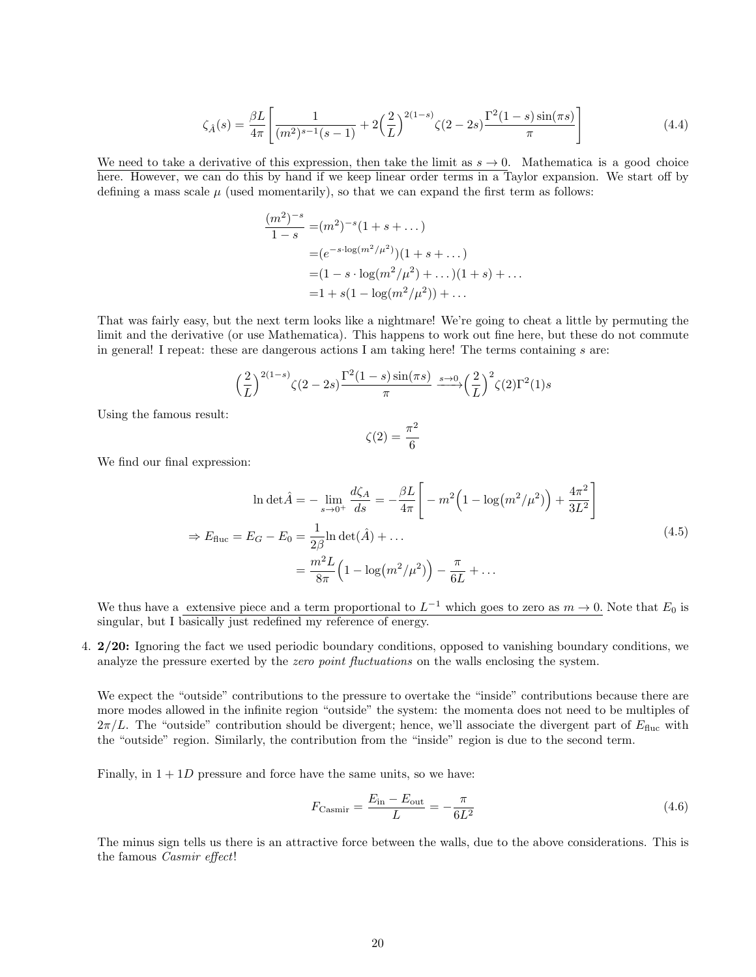$$
\zeta_{\hat{A}}(s) = \frac{\beta L}{4\pi} \left[ \frac{1}{(m^2)^{s-1}(s-1)} + 2\left(\frac{2}{L}\right)^{2(1-s)} \zeta(2-2s) \frac{\Gamma^2(1-s)\sin(\pi s)}{\pi} \right]
$$
(4.4)

We need to take a derivative of this expression, then take the limit as  $s \to 0$ . Mathematica is a good choice here. However, we can do this by hand if we keep linear order terms in a Taylor expansion. We start off by defining a mass scale  $\mu$  (used momentarily), so that we can expand the first term as follows:

$$
\frac{(m^2)^{-s}}{1-s} = (m^2)^{-s} (1+s+\dots)
$$
  
=  $(e^{-s \cdot \log(m^2/\mu^2)})(1+s+\dots)$   
=  $(1-s \cdot \log(m^2/\mu^2)+\dots)(1+s)+\dots$   
=  $1 + s(1 - \log(m^2/\mu^2)) + \dots$ 

That was fairly easy, but the next term looks like a nightmare! We're going to cheat a little by permuting the limit and the derivative (or use Mathematica). This happens to work out fine here, but these do not commute in general! I repeat: these are dangerous actions I am taking here! The terms containing s are:

$$
\left(\frac{2}{L}\right)^{2(1-s)}\zeta(2-2s)\frac{\Gamma^2(1-s)\sin(\pi s)}{\pi} \xrightarrow{s\to 0} \left(\frac{2}{L}\right)^2\zeta(2)\Gamma^2(1)s
$$

Using the famous result:

$$
\zeta(2)=\frac{\pi^2}{6}
$$

We find our final expression:

$$
\ln \det \hat{A} = -\lim_{s \to 0^{+}} \frac{d\zeta_{A}}{ds} = -\frac{\beta L}{4\pi} \left[ -m^{2} \left( 1 - \log(m^{2}/\mu^{2}) \right) + \frac{4\pi^{2}}{3L^{2}} \right]
$$
  
\n
$$
\Rightarrow E_{\text{fluc}} = E_{G} - E_{0} = \frac{1}{2\beta} \ln \det(\hat{A}) + \dots
$$
  
\n
$$
= \frac{m^{2} L}{8\pi} \left( 1 - \log(m^{2}/\mu^{2}) \right) - \frac{\pi}{6L} + \dots
$$
\n(4.5)

We thus have a extensive piece and a term proportional to  $L^{-1}$  which goes to zero as  $m \to 0$ . Note that  $E_0$  is singular, but I basically just redefined my reference of energy.

4. 2/20: Ignoring the fact we used periodic boundary conditions, opposed to vanishing boundary conditions, we analyze the pressure exerted by the *zero point fluctuations* on the walls enclosing the system.

We expect the "outside" contributions to the pressure to overtake the "inside" contributions because there are more modes allowed in the infinite region "outside" the system: the momenta does not need to be multiples of  $2\pi/L$ . The "outside" contribution should be divergent; hence, we'll associate the divergent part of  $E_{\text{fluc}}$  with the "outside" region. Similarly, the contribution from the "inside" region is due to the second term.

Finally, in  $1 + 1D$  pressure and force have the same units, so we have:

$$
F_{\text{Casmir}} = \frac{E_{\text{in}} - E_{\text{out}}}{L} = -\frac{\pi}{6L^2} \tag{4.6}
$$

The minus sign tells us there is an attractive force between the walls, due to the above considerations. This is the famous Casmir effect!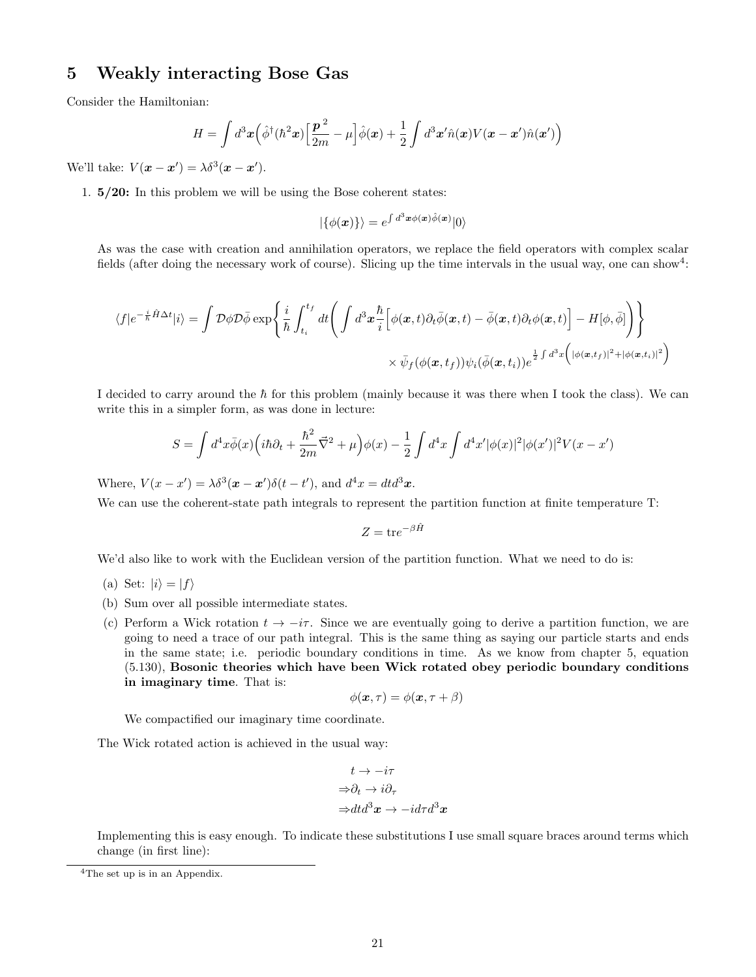#### 5 Weakly interacting Bose Gas

Consider the Hamiltonian:

$$
H = \int d^3x \left(\hat{\phi}^\dagger(\hbar^2 x) \left[\frac{\mathbf{p}^2}{2m} - \mu\right] \hat{\phi}(x) + \frac{1}{2} \int d^3x' \hat{n}(x) V(x - x') \hat{n}(x')\right)
$$

We'll take:  $V(\mathbf{x} - \mathbf{x}') = \lambda \delta^3(\mathbf{x} - \mathbf{x}')$ .

1. 5/20: In this problem we will be using the Bose coherent states:

$$
|\{\phi(\bm{x})\}\rangle = e^{\int d^3\bm{x}\phi(\bm{x})\hat{\phi}(\bm{x})} |0\rangle
$$

As was the case with creation and annihilation operators, we replace the field operators with complex scalar fields (after doing the necessary work of course). Slicing up the time intervals in the usual way, one can show<sup>4</sup>:

$$
\langle f|e^{-\frac{i}{\hbar}\hat{H}\Delta t}|i\rangle = \int \mathcal{D}\phi \mathcal{D}\bar{\phi} \exp\left\{\frac{i}{\hbar} \int_{t_i}^{t_f} dt \Bigg( \int d^3x \frac{\hbar}{i} \Big[\phi(\mathbf{x},t) \partial_t \bar{\phi}(\mathbf{x},t) - \bar{\phi}(\mathbf{x},t) \partial_t \phi(\mathbf{x},t) \Big] - H[\phi,\bar{\phi}] \Bigg) \right\}
$$
  
 
$$
\times \bar{\psi}_f(\phi(\mathbf{x},t_f)) \psi_i(\bar{\phi}(\mathbf{x},t_i)) e^{\frac{1}{2}\int d^3x \Big( |\phi(\mathbf{x},t_f)|^2 + |\phi(\mathbf{x},t_i)|^2 \Big)}
$$

I decided to carry around the  $\hbar$  for this problem (mainly because it was there when I took the class). We can write this in a simpler form, as was done in lecture:

$$
S = \int d^4x \bar{\phi}(x) \left( i\hbar \partial_t + \frac{\hbar^2}{2m} \vec{\nabla}^2 + \mu \right) \phi(x) - \frac{1}{2} \int d^4x \int d^4x' |\phi(x)|^2 |\phi(x')|^2 V(x - x')
$$

Where,  $V(x - x') = \lambda \delta^3(x - x') \delta(t - t')$ , and  $d^4x = dt d^3x$ .

We can use the coherent-state path integrals to represent the partition function at finite temperature T:

 $Z = \text{tr}e^{-\beta \hat{H}}$ 

We'd also like to work with the Euclidean version of the partition function. What we need to do is:

- (a) Set:  $|i\rangle = |f\rangle$
- (b) Sum over all possible intermediate states.
- (c) Perform a Wick rotation  $t \to -i\tau$ . Since we are eventually going to derive a partition function, we are going to need a trace of our path integral. This is the same thing as saying our particle starts and ends in the same state; i.e. periodic boundary conditions in time. As we know from chapter 5, equation (5.130), Bosonic theories which have been Wick rotated obey periodic boundary conditions in imaginary time. That is:

$$
\phi(\boldsymbol{x},\tau) = \phi(\boldsymbol{x},\tau+\beta)
$$

We compactified our imaginary time coordinate.

The Wick rotated action is achieved in the usual way:

$$
t \to -i\tau
$$
  
\n
$$
\Rightarrow \partial_t \to i\partial_\tau
$$
  
\n
$$
\Rightarrow dt d^3x \to -i d\tau d^3x
$$

Implementing this is easy enough. To indicate these substitutions I use small square braces around terms which change (in first line):

<sup>4</sup>The set up is in an Appendix.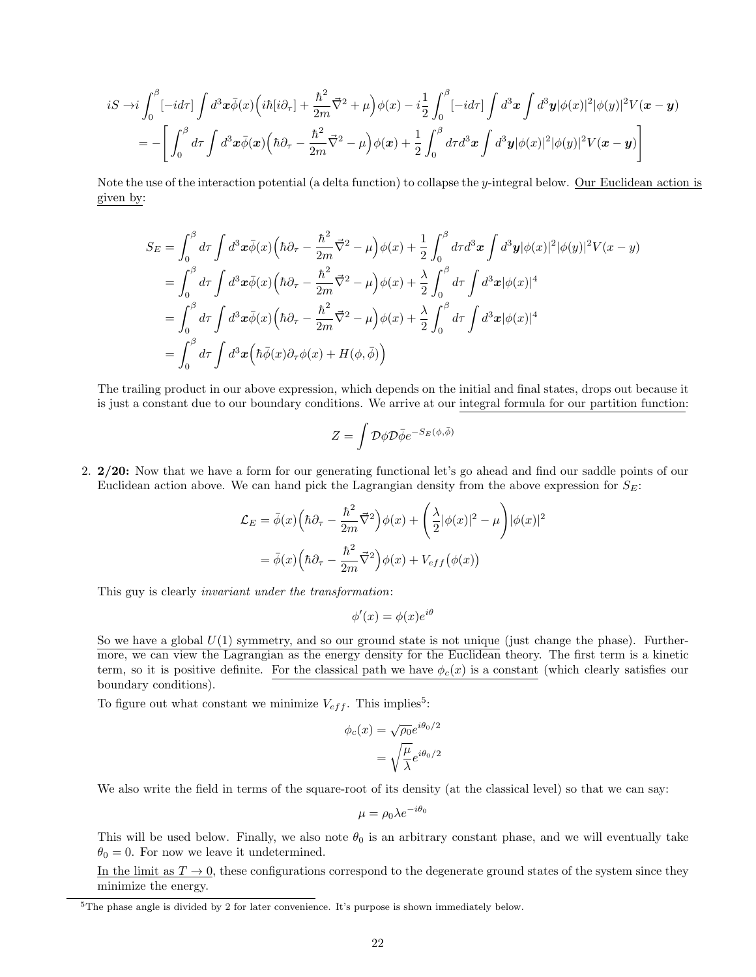$$
iS \to i\int_0^\beta [-id\tau] \int d^3x \bar{\phi}(x) \Big( i\hbar [i\partial_\tau] + \frac{\hbar^2}{2m} \vec{\nabla}^2 + \mu \Big) \phi(x) - i\frac{1}{2} \int_0^\beta [-id\tau] \int d^3x \int d^3y |\phi(x)|^2 |\phi(y)|^2 V(\mathbf{x} - \mathbf{y})
$$
  
= 
$$
- \left[ \int_0^\beta d\tau \int d^3x \bar{\phi}(\mathbf{x}) \Big( \hbar \partial_\tau - \frac{\hbar^2}{2m} \vec{\nabla}^2 - \mu \Big) \phi(\mathbf{x}) + \frac{1}{2} \int_0^\beta d\tau d^3x \int d^3y |\phi(x)|^2 |\phi(y)|^2 V(\mathbf{x} - \mathbf{y}) \right]
$$

Note the use of the interaction potential (a delta function) to collapse the y-integral below. Our Euclidean action is given by:

$$
S_E = \int_0^\beta d\tau \int d^3x \bar{\phi}(x) \left( \hbar \partial_\tau - \frac{\hbar^2}{2m} \vec{\nabla}^2 - \mu \right) \phi(x) + \frac{1}{2} \int_0^\beta d\tau d^3x \int d^3y |\phi(x)|^2 |\phi(y)|^2 V(x - y)
$$
  
\n
$$
= \int_0^\beta d\tau \int d^3x \bar{\phi}(x) \left( \hbar \partial_\tau - \frac{\hbar^2}{2m} \vec{\nabla}^2 - \mu \right) \phi(x) + \frac{\lambda}{2} \int_0^\beta d\tau \int d^3x |\phi(x)|^4
$$
  
\n
$$
= \int_0^\beta d\tau \int d^3x \bar{\phi}(x) \left( \hbar \partial_\tau - \frac{\hbar^2}{2m} \vec{\nabla}^2 - \mu \right) \phi(x) + \frac{\lambda}{2} \int_0^\beta d\tau \int d^3x |\phi(x)|^4
$$
  
\n
$$
= \int_0^\beta d\tau \int d^3x \left( \hbar \bar{\phi}(x) \partial_\tau \phi(x) + H(\phi, \bar{\phi}) \right)
$$

The trailing product in our above expression, which depends on the initial and final states, drops out because it is just a constant due to our boundary conditions. We arrive at our integral formula for our partition function:

$$
Z = \int \mathcal{D}\phi \mathcal{D}\bar{\phi} e^{-S_E(\phi, \bar{\phi})}
$$

2. 2/20: Now that we have a form for our generating functional let's go ahead and find our saddle points of our Euclidean action above. We can hand pick the Lagrangian density from the above expression for  $S_E$ :

$$
\mathcal{L}_E = \bar{\phi}(x) \left( \hbar \partial_\tau - \frac{\hbar^2}{2m} \vec{\nabla}^2 \right) \phi(x) + \left( \frac{\lambda}{2} |\phi(x)|^2 - \mu \right) |\phi(x)|^2
$$

$$
= \bar{\phi}(x) \left( \hbar \partial_\tau - \frac{\hbar^2}{2m} \vec{\nabla}^2 \right) \phi(x) + V_{eff} (\phi(x))
$$

This guy is clearly invariant under the transformation:

$$
\phi'(x) = \phi(x)e^{i\theta}
$$

So we have a global  $U(1)$  symmetry, and so our ground state is not unique (just change the phase). Furthermore, we can view the Lagrangian as the energy density for the Euclidean theory. The first term is a kinetic term, so it is positive definite. For the classical path we have  $\phi_c(x)$  is a constant (which clearly satisfies our boundary conditions).

To figure out what constant we minimize  $V_{eff}$ . This implies<sup>5</sup>:

$$
\phi_c(x) = \sqrt{\rho_0} e^{i\theta_0/2}
$$

$$
= \sqrt{\frac{\mu}{\lambda}} e^{i\theta_0/2}
$$

We also write the field in terms of the square-root of its density (at the classical level) so that we can say:

$$
\mu = \rho_0 \lambda e^{-i\theta_0}
$$

This will be used below. Finally, we also note  $\theta_0$  is an arbitrary constant phase, and we will eventually take  $\theta_0 = 0$ . For now we leave it undetermined.

In the limit as  $T \to 0$ , these configurations correspond to the degenerate ground states of the system since they minimize the energy.

 $5$ The phase angle is divided by 2 for later convenience. It's purpose is shown immediately below.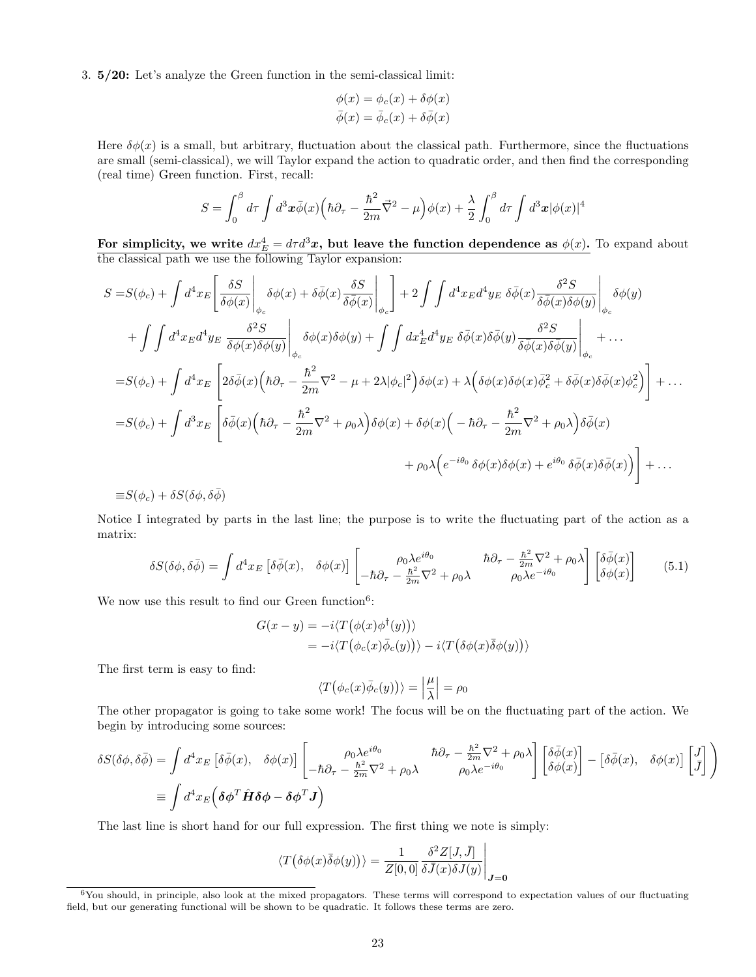3. 5/20: Let's analyze the Green function in the semi-classical limit:

$$
\phi(x) = \phi_c(x) + \delta\phi(x)
$$

$$
\bar{\phi}(x) = \bar{\phi}_c(x) + \delta\bar{\phi}(x)
$$

Here  $\delta\phi(x)$  is a small, but arbitrary, fluctuation about the classical path. Furthermore, since the fluctuations are small (semi-classical), we will Taylor expand the action to quadratic order, and then find the corresponding (real time) Green function. First, recall:

$$
S = \int_0^\beta d\tau \int d^3x \bar{\phi}(x) \left( \hbar \partial_\tau - \frac{\hbar^2}{2m} \vec{\nabla}^2 - \mu \right) \phi(x) + \frac{\lambda}{2} \int_0^\beta d\tau \int d^3x |\phi(x)|^4
$$

For simplicity, we write  $dx_E^4 = d\tau d^3x$ , but leave the function dependence as  $\phi(x)$ . To expand about the classical path we use the following Taylor expansion:

$$
S = S(\phi_c) + \int d^4x_E \left[ \frac{\delta S}{\delta \phi(x)} \Big|_{\phi_c} \delta \phi(x) + \delta \bar{\phi}(x) \frac{\delta S}{\delta \bar{\phi}(x)} \Big|_{\phi_c} \Big| + 2 \int \int d^4x_E d^4y_E \ \delta \bar{\phi}(x) \frac{\delta^2 S}{\delta \bar{\phi}(x) \delta \phi(y)} \Big|_{\phi_c} \delta \phi(y)
$$
  
+ 
$$
\int \int d^4x_E d^4y_E \ \frac{\delta^2 S}{\delta \phi(x) \delta \phi(y)} \Big|_{\phi_c} \delta \phi(x) \delta \phi(y) + \int \int dx_E^4 d^4y_E \ \delta \bar{\phi}(x) \delta \bar{\phi}(y) \frac{\delta^2 S}{\delta \bar{\phi}(x) \delta \bar{\phi}(y)} \Big|_{\phi_c} + \dots
$$
  
= 
$$
S(\phi_c) + \int d^4x_E \left[ 2\delta \bar{\phi}(x) \left( \hbar \partial_\tau - \frac{\hbar^2}{2m} \nabla^2 - \mu + 2\lambda |\phi_c|^2 \right) \delta \phi(x) + \lambda \left( \delta \phi(x) \delta \phi(x) \bar{\phi}_c^2 + \delta \bar{\phi}(x) \delta \bar{\phi}(x) \phi_c^2 \right) \right] + \dots
$$
  
= 
$$
S(\phi_c) + \int d^3x_E \left[ \delta \bar{\phi}(x) \left( \hbar \partial_\tau - \frac{\hbar^2}{2m} \nabla^2 + \rho_0 \lambda \right) \delta \phi(x) + \delta \phi(x) \left( -\hbar \partial_\tau - \frac{\hbar^2}{2m} \nabla^2 + \rho_0 \lambda \right) \delta \bar{\phi}(x) + \rho_0 \lambda \left( e^{-i\theta_0} \delta \phi(x) \delta \phi(x) + e^{i\theta_0} \delta \bar{\phi}(x) \delta \bar{\phi}(x) \right) \right] + \dots
$$

 $\equiv S(\phi_c) + \delta S(\delta \phi, \delta \overline{\phi})$ 

Notice I integrated by parts in the last line; the purpose is to write the fluctuating part of the action as a matrix:

$$
\delta S(\delta \phi, \delta \bar{\phi}) = \int d^4 x_E \left[ \delta \bar{\phi}(x), \quad \delta \phi(x) \right] \begin{bmatrix} \rho_0 \lambda e^{i\theta_0} & \hbar \partial_\tau - \frac{\hbar^2}{2m} \nabla^2 + \rho_0 \lambda \\ -\hbar \partial_\tau - \frac{\hbar^2}{2m} \nabla^2 + \rho_0 \lambda & \rho_0 \lambda e^{-i\theta_0} \end{bmatrix} \begin{bmatrix} \delta \bar{\phi}(x) \\ \delta \phi(x) \end{bmatrix} \tag{5.1}
$$

We now use this result to find our Green function<sup>6</sup>:

$$
G(x - y) = -i \langle T(\phi(x)\phi^{\dagger}(y)) \rangle
$$
  
=  $-i \langle T(\phi_c(x)\overline{\phi}_c(y)) \rangle - i \langle T(\delta\phi(x)\overline{\delta}\phi(y)) \rangle$ 

The first term is easy to find:

$$
\langle T(\phi_c(x)\overline{\phi}_c(y))\rangle = \left|\frac{\mu}{\lambda}\right| = \rho_0
$$

The other propagator is going to take some work! The focus will be on the fluctuating part of the action. We begin by introducing some sources:

$$
\delta S(\delta \phi, \delta \bar{\phi}) = \int d^4 x_E \left[ \delta \bar{\phi}(x), \quad \delta \phi(x) \right] \begin{bmatrix} \rho_0 \lambda e^{i\theta_0} & \hbar \partial_{\tau} - \frac{\hbar^2}{2m} \nabla^2 + \rho_0 \lambda \\ -\hbar \partial_{\tau} - \frac{\hbar^2}{2m} \nabla^2 + \rho_0 \lambda & \rho_0 \lambda e^{-i\theta_0} \end{bmatrix} \begin{bmatrix} \delta \bar{\phi}(x) \\ \delta \phi(x) \end{bmatrix} - \begin{bmatrix} \delta \bar{\phi}(x), \quad \delta \phi(x) \end{bmatrix} \begin{bmatrix} J \\ \bar{J} \end{bmatrix}
$$
  

$$
\equiv \int d^4 x_E \left( \delta \phi^T \hat{H} \delta \phi - \delta \phi^T J \right)
$$

The last line is short hand for our full expression. The first thing we note is simply:

$$
\langle T(\delta\phi(x)\overline{\delta}\phi(y))\rangle = \frac{1}{Z[0,0]}\frac{\delta^2 Z[J,\overline{J}]}{\delta \overline{J}(x)\delta J(y)}\Big|_{\mathbf{J}=\mathbf{0}}
$$

 $6$ You should, in principle, also look at the mixed propagators. These terms will correspond to expectation values of our fluctuating field, but our generating functional will be shown to be quadratic. It follows these terms are zero.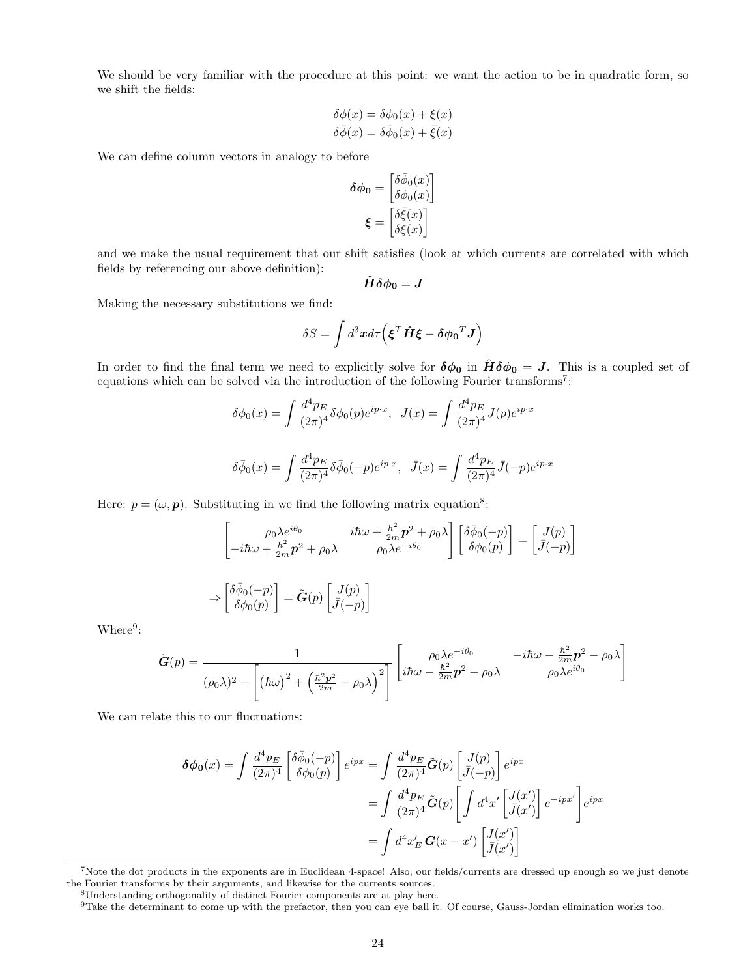We should be very familiar with the procedure at this point: we want the action to be in quadratic form, so we shift the fields:

$$
\delta\phi(x) = \delta\phi_0(x) + \xi(x)
$$

$$
\delta\bar{\phi}(x) = \delta\bar{\phi}_0(x) + \bar{\xi}(x)
$$

We can define column vectors in analogy to before

$$
\begin{aligned} \pmb{\delta\phi_0} &= \begin{bmatrix} \delta\bar{\phi}_0(x) \\ \delta\phi_0(x) \end{bmatrix} \\ \pmb{\xi} &= \begin{bmatrix} \delta\bar{\xi}(x) \\ \delta\xi(x) \end{bmatrix} \end{aligned}
$$

and we make the usual requirement that our shift satisfies (look at which currents are correlated with which fields by referencing our above definition):

$$
\hat{H} \delta \phi_0 = J
$$

Making the necessary substitutions we find:

$$
\delta S = \int d^3x d\tau \Big( \boldsymbol{\xi}^T \hat{\boldsymbol{H}} \boldsymbol{\xi} - \boldsymbol{\delta \phi_0}^T \boldsymbol{J} \Big)
$$

In order to find the final term we need to explicitly solve for  $\delta\phi_0$  in  $\hat{H}\delta\phi_0 = J$ . This is a coupled set of equations which can be solved via the introduction of the following Fourier transforms<sup>7</sup>:

$$
\delta\phi_0(x) = \int \frac{d^4 p_E}{(2\pi)^4} \delta\phi_0(p) e^{ip \cdot x}, \quad J(x) = \int \frac{d^4 p_E}{(2\pi)^4} J(p) e^{ip \cdot x}
$$

$$
\delta\bar{\phi}_0(x) = \int \frac{d^4 p_E}{(2\pi)^4} \delta\bar{\phi}_0(-p) e^{ip \cdot x}, \quad \bar{J}(x) = \int \frac{d^4 p_E}{(2\pi)^4} \bar{J}(-p) e^{ip \cdot x}
$$

Here:  $p = (\omega, p)$ . Substituting in we find the following matrix equation<sup>8</sup>:

$$
\begin{bmatrix}\n\rho_0 \lambda e^{i\theta_0} & i\hbar \omega + \frac{\hbar^2}{2m} \mathbf{p}^2 + \rho_0 \lambda \\
-i\hbar \omega + \frac{\hbar^2}{2m} \mathbf{p}^2 + \rho_0 \lambda & \rho_0 \lambda e^{-i\theta_0}\n\end{bmatrix}\n\begin{bmatrix}\n\delta \bar{\phi}_0(-p) \\
\delta \phi_0(p)\n\end{bmatrix} =\n\begin{bmatrix}\nJ(p) \\
\bar{J}(-p)\n\end{bmatrix}
$$
\n
$$
\Rightarrow\n\begin{bmatrix}\n\delta \bar{\phi}_0(-p) \\
\delta \phi_0(p)\n\end{bmatrix} = \tilde{\mathbf{G}}(p) \begin{bmatrix}\nJ(p) \\
\bar{J}(-p)\n\end{bmatrix}
$$

 $Where<sup>9</sup>$ :

$$
\tilde{G}(p) = \frac{1}{(\rho_0 \lambda)^2 - \left[ (\hbar \omega)^2 + \left( \frac{\hbar^2 p^2}{2m} + \rho_0 \lambda \right)^2 \right]} \left[ i \hbar \omega - \frac{\hbar^2}{2m} p^2 - \rho_0 \lambda \right]^{-1} \left[ \rho_0 \lambda e^{-i\theta_0} - i \hbar \omega - \frac{\hbar^2}{2m} p^2 - \rho_0 \lambda \right]
$$

We can relate this to our fluctuations:

⇒

$$
\delta\phi_0(x) = \int \frac{d^4 p_E}{(2\pi)^4} \left[ \begin{array}{c} \delta\bar{\phi}_0(-p) \\ \delta\phi_0(p) \end{array} \right] e^{ipx} = \int \frac{d^4 p_E}{(2\pi)^4} \tilde{G}(p) \left[ \begin{array}{c} J(p) \\ \bar{J}(-p) \end{array} \right] e^{ipx}
$$

$$
= \int \frac{d^4 p_E}{(2\pi)^4} \tilde{G}(p) \left[ \int d^4 x' \left[ \begin{array}{c} J(x') \\ \bar{J}(x') \end{array} \right] e^{-ipx'} \right] e^{ipx}
$$

$$
= \int d^4 x'_E \, G(x - x') \left[ \begin{array}{c} J(x') \\ \bar{J}(x') \end{array} \right]
$$

<sup>7</sup>Note the dot products in the exponents are in Euclidean 4-space! Also, our fields/currents are dressed up enough so we just denote the Fourier transforms by their arguments, and likewise for the currents sources.

<sup>8</sup>Understanding orthogonality of distinct Fourier components are at play here.

 $9$ Take the determinant to come up with the prefactor, then you can eye ball it. Of course, Gauss-Jordan elimination works too.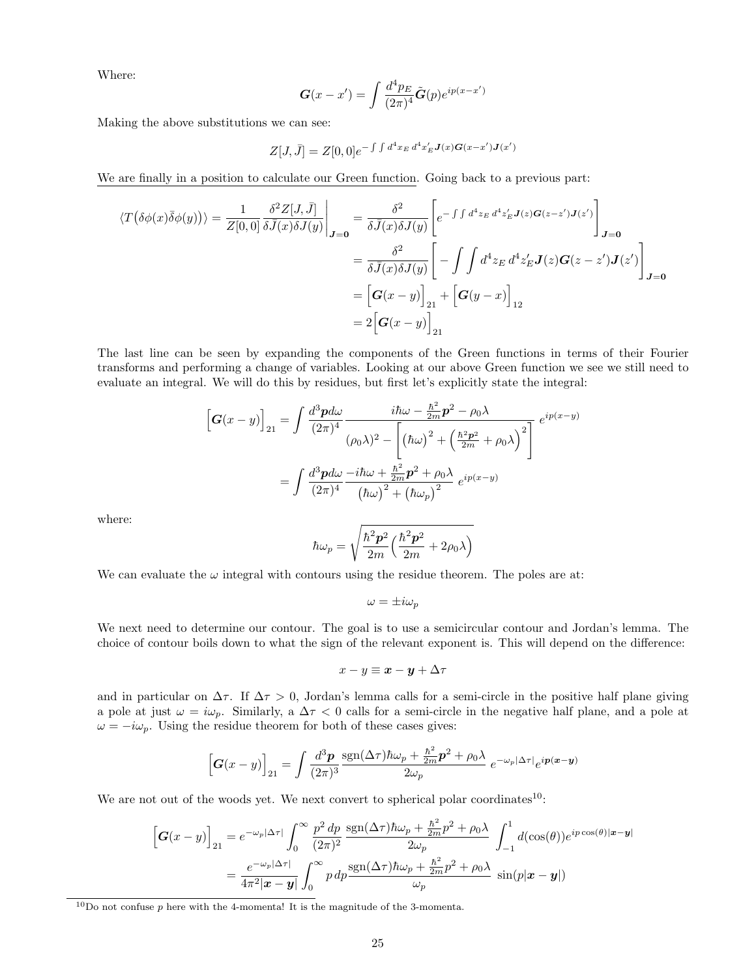Where:

$$
\mathbf{G}(x-x') = \int \frac{d^4 p_E}{(2\pi)^4} \tilde{\mathbf{G}}(p) e^{ip(x-x')}
$$

Making the above substitutions we can see:

$$
Z[J,\bar{J}] = Z[0,0]e^{-\int \int d^4x_E d^4x'_E J(x)G(x-x')J(x')}
$$

We are finally in a position to calculate our Green function. Going back to a previous part:

$$
\langle T(\delta\phi(x)\bar{\delta}\phi(y))\rangle = \frac{1}{Z[0,0]} \frac{\delta^2 Z[J,\bar{J}]}{\delta\bar{J}(x)\delta J(y)}\Big|_{\mathbf{J}=\mathbf{0}} = \frac{\delta^2}{\delta\bar{J}(x)\delta J(y)} \Bigg[e^{-\int \int d^4 z_E d^4 z'_E \mathbf{J}(z)\mathbf{G}(z-z')\mathbf{J}(z')} \Bigg]_{\mathbf{J}=\mathbf{0}}
$$
  

$$
= \frac{\delta^2}{\delta\bar{J}(x)\delta J(y)} \Bigg[-\int \int d^4 z_E d^4 z'_E \mathbf{J}(z)\mathbf{G}(z-z')\mathbf{J}(z')\Bigg]_{\mathbf{J}=\mathbf{0}}
$$
  

$$
= \Big[\mathbf{G}(x-y)\Big]_{21} + \Big[\mathbf{G}(y-x)\Big]_{12}
$$
  

$$
= 2\Big[\mathbf{G}(x-y)\Big]_{21}
$$

The last line can be seen by expanding the components of the Green functions in terms of their Fourier transforms and performing a change of variables. Looking at our above Green function we see we still need to evaluate an integral. We will do this by residues, but first let's explicitly state the integral:

$$
\begin{aligned}\n\left[G(x-y)\right]_{21} &= \int \frac{d^3 \mathbf{p} d\omega}{(2\pi)^4} \frac{i\hbar\omega - \frac{\hbar^2}{2m}\mathbf{p}^2 - \rho_0\lambda}{(\rho_0\lambda)^2 - \left[(\hbar\omega)^2 + \left(\frac{\hbar^2 \mathbf{p}^2}{2m} + \rho_0\lambda\right)^2\right]} e^{ip(x-y)} \\
&= \int \frac{d^3 \mathbf{p} d\omega}{(2\pi)^4} \frac{-i\hbar\omega + \frac{\hbar^2}{2m}\mathbf{p}^2 + \rho_0\lambda}{(\hbar\omega)^2 + (\hbar\omega_p)^2} e^{ip(x-y)}\n\end{aligned}
$$

where:

$$
\hbar\omega_p=\sqrt{\frac{\hbar^2\bm{p}^2}{2m}\Big(\frac{\hbar^2\bm{p}^2}{2m}+2\rho_0\lambda\Big)}
$$

We can evaluate the  $\omega$  integral with contours using the residue theorem. The poles are at:

 $\omega = \pm i \omega_p$ 

We next need to determine our contour. The goal is to use a semicircular contour and Jordan's lemma. The choice of contour boils down to what the sign of the relevant exponent is. This will depend on the difference:

$$
x - y \equiv x - y + \Delta \tau
$$

and in particular on  $\Delta \tau$ . If  $\Delta \tau > 0$ , Jordan's lemma calls for a semi-circle in the positive half plane giving a pole at just  $\omega = i\omega_p$ . Similarly, a  $\Delta \tau < 0$  calls for a semi-circle in the negative half plane, and a pole at  $\omega = -i\omega_p$ . Using the residue theorem for both of these cases gives:

$$
\left[\boldsymbol{G}(x-y)\right]_{21}=\int\frac{d^{3}\boldsymbol{p}}{(2\pi)^{3}}\frac{\mathrm{sgn}(\Delta\tau)\hbar\omega_{p}+\frac{\hbar^{2}}{2m}\boldsymbol{p}^{2}+\rho_{0}\lambda}{2\omega_{p}}\;e^{-\omega_{p}|\Delta\tau|}e^{i\boldsymbol{p}(\boldsymbol{x}-\boldsymbol{y})}
$$

We are not out of the woods yet. We next convert to spherical polar coordinates<sup>10</sup>:

$$
\begin{split} \left[ \boldsymbol{G}(x-y) \right]_{21} &= e^{-\omega_p |\Delta \tau|} \int_0^\infty \frac{p^2 \, dp}{(2\pi)^2} \frac{\text{sgn}(\Delta \tau) \hbar \omega_p + \frac{\hbar^2}{2m} p^2 + \rho_0 \lambda}{2\omega_p} \int_{-1}^1 d(\cos(\theta)) e^{ip \cos(\theta)|\boldsymbol{x}-\boldsymbol{y}|} \\ &= \frac{e^{-\omega_p |\Delta \tau|}}{4\pi^2 |\boldsymbol{x}-\boldsymbol{y}|} \int_0^\infty p \, dp \frac{\text{sgn}(\Delta \tau) \hbar \omega_p + \frac{\hbar^2}{2m} p^2 + \rho_0 \lambda}{\omega_p} \, \sin(p|\boldsymbol{x}-\boldsymbol{y}|) \end{split}
$$

 $10$ Do not confuse p here with the 4-momenta! It is the magnitude of the 3-momenta.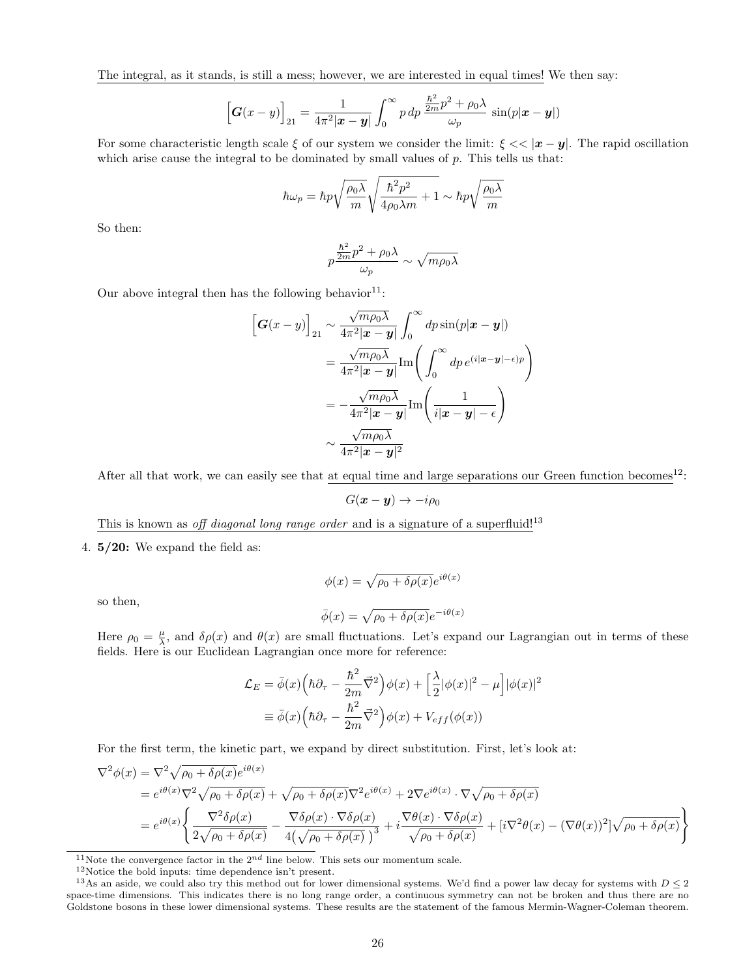The integral, as it stands, is still a mess; however, we are interested in equal times! We then say:

$$
\left[\boldsymbol{G}(x-y)\right]_{21} = \frac{1}{4\pi^2|\boldsymbol{x}-\boldsymbol{y}|}\int_0^\infty p\,dp\,\frac{\frac{\hbar^2}{2m}p^2+\rho_0\lambda}{\omega_p}\,\sin(p|\boldsymbol{x}-\boldsymbol{y}|)
$$

For some characteristic length scale  $\xi$  of our system we consider the limit:  $\xi \ll |x - y|$ . The rapid oscillation which arise cause the integral to be dominated by small values of  $p$ . This tells us that:

$$
\hbar\omega_p = \hbar p \sqrt{\frac{\rho_0 \lambda}{m}} \sqrt{\frac{\hbar^2 p^2}{4\rho_0 \lambda m} + 1} \sim \hbar p \sqrt{\frac{\rho_0 \lambda}{m}}
$$

So then:

$$
p\frac{\frac{\hbar^2}{2m}p^2 + \rho_0\lambda}{\omega_p} \sim \sqrt{m\rho_0\lambda}
$$

Our above integral then has the following behavior<sup>11</sup>:

$$
\begin{aligned}\n\left[\mathbf{G}(x-y)\right]_{21} &\sim \frac{\sqrt{m\rho_0\lambda}}{4\pi^2|\mathbf{x}-\mathbf{y}|} \int_0^\infty dp \sin(p|\mathbf{x}-\mathbf{y}|) \\
&= \frac{\sqrt{m\rho_0\lambda}}{4\pi^2|\mathbf{x}-\mathbf{y}|} \text{Im}\left(\int_0^\infty dp \, e^{(i|\mathbf{x}-\mathbf{y}|-\epsilon)p}\right) \\
&= -\frac{\sqrt{m\rho_0\lambda}}{4\pi^2|\mathbf{x}-\mathbf{y}|} \text{Im}\left(\frac{1}{i|\mathbf{x}-\mathbf{y}|-\epsilon}\right) \\
&\sim \frac{\sqrt{m\rho_0\lambda}}{4\pi^2|\mathbf{x}-\mathbf{y}|^2}\n\end{aligned}
$$

After all that work, we can easily see that at equal time and large separations our Green function becomes<sup>12</sup>:

$$
G(\boldsymbol{x}-\boldsymbol{y})\to -i\rho_0
$$

This is known as off diagonal long range order and is a signature of a superfluid!<sup>13</sup>

4.  $5/20$ : We expand the field as:

so then,

$$
\phi(x) = \sqrt{\rho_0 + \delta \rho(x)} e^{i\theta(x)}
$$

$$
\bar{\phi}(x) = \sqrt{\rho_0 + \delta \rho(x)} e^{-i\theta(x)}
$$

Here  $\rho_0 = \frac{\mu}{\lambda}$ , and  $\delta \rho(x)$  and  $\theta(x)$  are small fluctuations. Let's expand our Lagrangian out in terms of these fields. Here is our Euclidean Lagrangian once more for reference:

$$
\mathcal{L}_E = \bar{\phi}(x) \left( \hbar \partial_\tau - \frac{\hbar^2}{2m} \vec{\nabla}^2 \right) \phi(x) + \left[ \frac{\lambda}{2} |\phi(x)|^2 - \mu \right] |\phi(x)|^2
$$

$$
\equiv \bar{\phi}(x) \left( \hbar \partial_\tau - \frac{\hbar^2}{2m} \vec{\nabla}^2 \right) \phi(x) + V_{eff}(\phi(x))
$$

For the first term, the kinetic part, we expand by direct substitution. First, let's look at:

$$
\nabla^2 \phi(x) = \nabla^2 \sqrt{\rho_0 + \delta \rho(x)} e^{i\theta(x)}
$$
  
=  $e^{i\theta(x)} \nabla^2 \sqrt{\rho_0 + \delta \rho(x)} + \sqrt{\rho_0 + \delta \rho(x)} \nabla^2 e^{i\theta(x)} + 2 \nabla e^{i\theta(x)} \cdot \nabla \sqrt{\rho_0 + \delta \rho(x)}$   
=  $e^{i\theta(x)} \left\{ \frac{\nabla^2 \delta \rho(x)}{2\sqrt{\rho_0 + \delta \rho(x)}} - \frac{\nabla \delta \rho(x) \cdot \nabla \delta \rho(x)}{4(\sqrt{\rho_0 + \delta \rho(x)})^3} + i \frac{\nabla \theta(x) \cdot \nabla \delta \rho(x)}{\sqrt{\rho_0 + \delta \rho(x)}} + [i \nabla^2 \theta(x) - (\nabla \theta(x))^2] \sqrt{\rho_0 + \delta \rho(x)} \right\}$ 

<sup>11</sup>Note the convergence factor in the  $2^{nd}$  line below. This sets our momentum scale.

 $^{12}{\rm Notice}$  the bold inputs: time dependence isn't present.

<sup>&</sup>lt;sup>13</sup>As an aside, we could also try this method out for lower dimensional systems. We'd find a power law decay for systems with  $D \leq 2$ space-time dimensions. This indicates there is no long range order, a continuous symmetry can not be broken and thus there are no Goldstone bosons in these lower dimensional systems. These results are the statement of the famous Mermin-Wagner-Coleman theorem.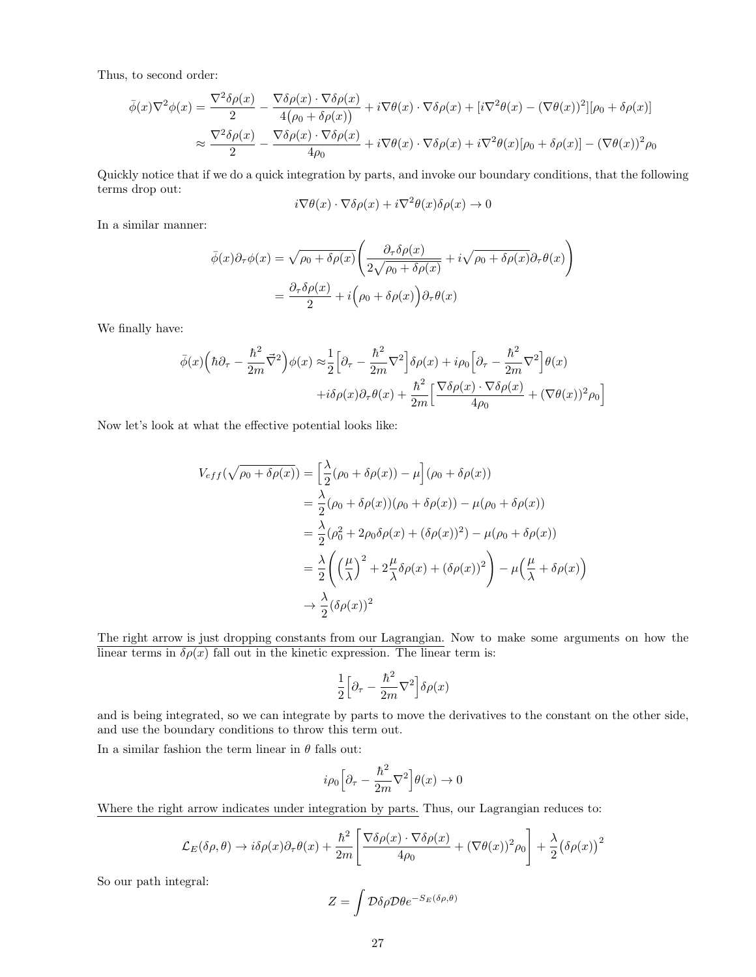Thus, to second order:

$$
\bar{\phi}(x)\nabla^2\phi(x) = \frac{\nabla^2\delta\rho(x)}{2} - \frac{\nabla\delta\rho(x)\cdot\nabla\delta\rho(x)}{4(\rho_0 + \delta\rho(x))} + i\nabla\theta(x)\cdot\nabla\delta\rho(x) + [i\nabla^2\theta(x) - (\nabla\theta(x))^2][\rho_0 + \delta\rho(x)]
$$

$$
\approx \frac{\nabla^2\delta\rho(x)}{2} - \frac{\nabla\delta\rho(x)\cdot\nabla\delta\rho(x)}{4\rho_0} + i\nabla\theta(x)\cdot\nabla\delta\rho(x) + i\nabla^2\theta(x)[\rho_0 + \delta\rho(x)] - (\nabla\theta(x))^2\rho_0
$$

Quickly notice that if we do a quick integration by parts, and invoke our boundary conditions, that the following terms drop out:

$$
i\nabla\theta(x)\cdot\nabla\delta\rho(x)+i\nabla^2\theta(x)\delta\rho(x)\to 0
$$

In a similar manner:

$$
\bar{\phi}(x)\partial_{\tau}\phi(x) = \sqrt{\rho_0 + \delta\rho(x)} \left( \frac{\partial_{\tau}\delta\rho(x)}{2\sqrt{\rho_0 + \delta\rho(x)}} + i\sqrt{\rho_0 + \delta\rho(x)} \partial_{\tau}\theta(x) \right)
$$

$$
= \frac{\partial_{\tau}\delta\rho(x)}{2} + i\left(\rho_0 + \delta\rho(x)\right)\partial_{\tau}\theta(x)
$$

We finally have:

$$
\bar{\phi}(x)\Big(\hbar\partial_{\tau} - \frac{\hbar^2}{2m}\vec{\nabla}^2\Big)\phi(x) \approx \frac{1}{2}\Big[\partial_{\tau} - \frac{\hbar^2}{2m}\nabla^2\Big]\delta\rho(x) + i\rho_0\Big[\partial_{\tau} - \frac{\hbar^2}{2m}\nabla^2\Big]\theta(x) \n+ i\delta\rho(x)\partial_{\tau}\theta(x) + \frac{\hbar^2}{2m}\Big[\frac{\nabla\delta\rho(x)\cdot\nabla\delta\rho(x)}{4\rho_0} + (\nabla\theta(x))^2\rho_0\Big]
$$

Now let's look at what the effective potential looks like:

$$
V_{eff}(\sqrt{\rho_0 + \delta \rho(x)}) = \left[\frac{\lambda}{2}(\rho_0 + \delta \rho(x)) - \mu\right](\rho_0 + \delta \rho(x))
$$
  
=  $\frac{\lambda}{2}(\rho_0 + \delta \rho(x))(\rho_0 + \delta \rho(x)) - \mu(\rho_0 + \delta \rho(x))$   
=  $\frac{\lambda}{2}(\rho_0^2 + 2\rho_0\delta \rho(x) + (\delta \rho(x))^2) - \mu(\rho_0 + \delta \rho(x))$   
=  $\frac{\lambda}{2}\left(\left(\frac{\mu}{\lambda}\right)^2 + 2\frac{\mu}{\lambda}\delta \rho(x) + (\delta \rho(x))^2\right) - \mu\left(\frac{\mu}{\lambda} + \delta \rho(x)\right)$   
 $\rightarrow \frac{\lambda}{2}(\delta \rho(x))^2$ 

The right arrow is just dropping constants from our Lagrangian. Now to make some arguments on how the linear terms in  $\delta \rho(x)$  fall out in the kinetic expression. The linear term is:

$$
\frac{1}{2}\Big[\partial_\tau-\frac{\hbar^2}{2m}\nabla^2\Big]\delta\rho(x)
$$

and is being integrated, so we can integrate by parts to move the derivatives to the constant on the other side, and use the boundary conditions to throw this term out.

In a similar fashion the term linear in  $\theta$  falls out:

$$
i\rho_0 \Big[ \partial_\tau - \frac{\hbar^2}{2m} \nabla^2 \Big] \theta(x) \to 0
$$

Where the right arrow indicates under integration by parts. Thus, our Lagrangian reduces to:

$$
\mathcal{L}_E(\delta \rho, \theta) \to i\delta \rho(x)\partial_\tau \theta(x) + \frac{\hbar^2}{2m} \left[ \frac{\nabla \delta \rho(x) \cdot \nabla \delta \rho(x)}{4\rho_0} + (\nabla \theta(x))^2 \rho_0 \right] + \frac{\lambda}{2} (\delta \rho(x))^2
$$

So our path integral:

$$
Z = \int \mathcal{D}\delta\rho \mathcal{D}\theta e^{-S_E(\delta\rho,\theta)}
$$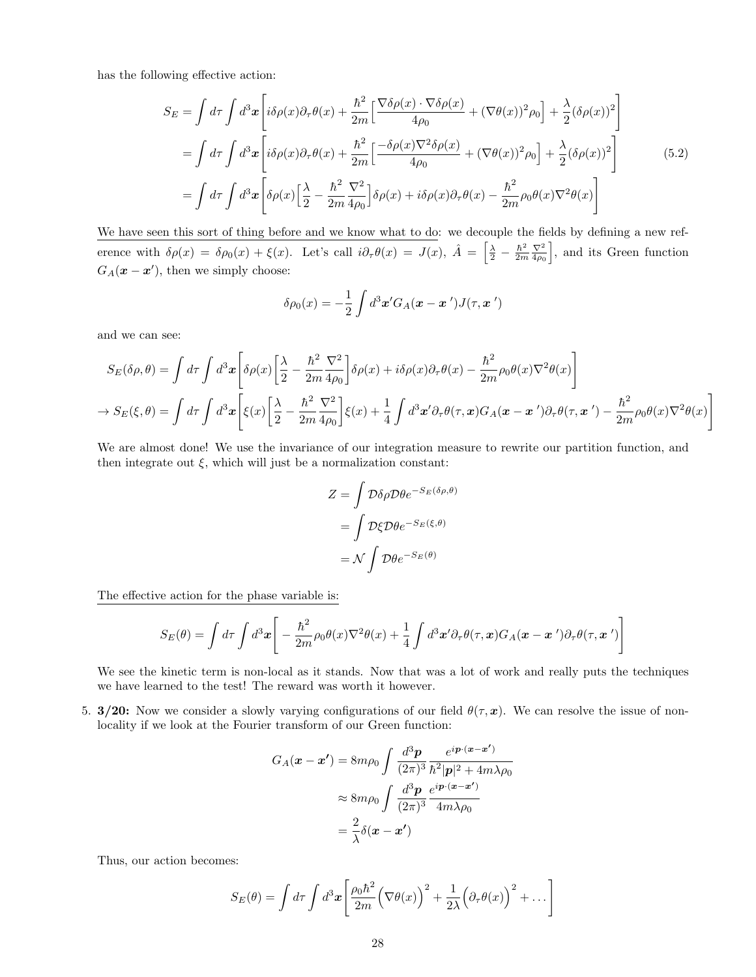has the following effective action:

$$
S_E = \int d\tau \int d^3x \left[ i\delta \rho(x)\partial_\tau \theta(x) + \frac{\hbar^2}{2m} \left[ \frac{\nabla \delta \rho(x) \cdot \nabla \delta \rho(x)}{4\rho_0} + (\nabla \theta(x))^2 \rho_0 \right] + \frac{\lambda}{2} (\delta \rho(x))^2 \right]
$$
  
\n
$$
= \int d\tau \int d^3x \left[ i\delta \rho(x)\partial_\tau \theta(x) + \frac{\hbar^2}{2m} \left[ \frac{-\delta \rho(x)\nabla^2 \delta \rho(x)}{4\rho_0} + (\nabla \theta(x))^2 \rho_0 \right] + \frac{\lambda}{2} (\delta \rho(x))^2 \right]
$$
  
\n
$$
= \int d\tau \int d^3x \left[ \delta \rho(x) \left[ \frac{\lambda}{2} - \frac{\hbar^2}{2m} \frac{\nabla^2}{4\rho_0} \right] \delta \rho(x) + i\delta \rho(x) \partial_\tau \theta(x) - \frac{\hbar^2}{2m} \rho_0 \theta(x) \nabla^2 \theta(x) \right]
$$
  
\n(5.2)

We have seen this sort of thing before and we know what to do: we decouple the fields by defining a new reference with  $\delta \rho(x) = \delta \rho_0(x) + \xi(x)$ . Let's call  $i \partial_{\tau} \theta(x) = J(x)$ ,  $\hat{A} = \left[ \frac{\lambda}{2} - \frac{\hbar^2}{2m} \right]$  $rac{\hbar^2}{2m} \frac{\nabla^2}{4\rho_0}$  $\frac{\nabla^2}{4\rho_0}$ , and its Green function  $G_A(\mathbf{x} - \mathbf{x}')$ , then we simply choose:

$$
\delta \rho_0(x) = -\frac{1}{2} \int d^3 \mathbf{x}' G_A(\mathbf{x} - \mathbf{x}') J(\tau, \mathbf{x}')
$$

and we can see:

$$
S_E(\delta \rho, \theta) = \int d\tau \int d^3x \left[ \delta \rho(x) \left[ \frac{\lambda}{2} - \frac{\hbar^2}{2m} \frac{\nabla^2}{4\rho_0} \right] \delta \rho(x) + i \delta \rho(x) \partial_\tau \theta(x) - \frac{\hbar^2}{2m} \rho_0 \theta(x) \nabla^2 \theta(x) \right]
$$
  

$$
\rightarrow S_E(\xi, \theta) = \int d\tau \int d^3x \left[ \xi(x) \left[ \frac{\lambda}{2} - \frac{\hbar^2}{2m} \frac{\nabla^2}{4\rho_0} \right] \xi(x) + \frac{1}{4} \int d^3x' \partial_\tau \theta(\tau, x) G_A(x - x') \partial_\tau \theta(\tau, x') - \frac{\hbar^2}{2m} \rho_0 \theta(x) \nabla^2 \theta(x) \right]
$$

We are almost done! We use the invariance of our integration measure to rewrite our partition function, and then integrate out  $\xi$ , which will just be a normalization constant:

$$
Z = \int \mathcal{D}\delta\rho \mathcal{D}\theta e^{-S_E(\delta\rho, \theta)}
$$

$$
= \int \mathcal{D}\xi \mathcal{D}\theta e^{-S_E(\xi, \theta)}
$$

$$
= \mathcal{N} \int \mathcal{D}\theta e^{-S_E(\theta)}
$$

The effective action for the phase variable is:

$$
S_E(\theta) = \int d\tau \int d^3x \left[ -\frac{\hbar^2}{2m} \rho_0 \theta(x) \nabla^2 \theta(x) + \frac{1}{4} \int d^3x' \partial_\tau \theta(\tau, x) G_A(\mathbf{x} - \mathbf{x}') \partial_\tau \theta(\tau, \mathbf{x}') \right]
$$

We see the kinetic term is non-local as it stands. Now that was a lot of work and really puts the techniques we have learned to the test! The reward was worth it however.

5. 3/20: Now we consider a slowly varying configurations of our field  $\theta(\tau, x)$ . We can resolve the issue of nonlocality if we look at the Fourier transform of our Green function:

$$
G_A(\mathbf{x} - \mathbf{x}') = 8m\rho_0 \int \frac{d^3 \mathbf{p}}{(2\pi)^3} \frac{e^{i\mathbf{p} \cdot (\mathbf{x} - \mathbf{x}')}}{\hbar^2 |\mathbf{p}|^2 + 4m\lambda\rho_0}
$$

$$
\approx 8m\rho_0 \int \frac{d^3 \mathbf{p}}{(2\pi)^3} \frac{e^{i\mathbf{p} \cdot (\mathbf{x} - \mathbf{x}')}}{4m\lambda\rho_0}
$$

$$
= \frac{2}{\lambda} \delta(\mathbf{x} - \mathbf{x}')
$$

Thus, our action becomes:

$$
S_E(\theta) = \int d\tau \int d^3x \left[ \frac{\rho_0 \hbar^2}{2m} \left( \nabla \theta(x) \right)^2 + \frac{1}{2\lambda} \left( \partial_\tau \theta(x) \right)^2 + \dots \right]
$$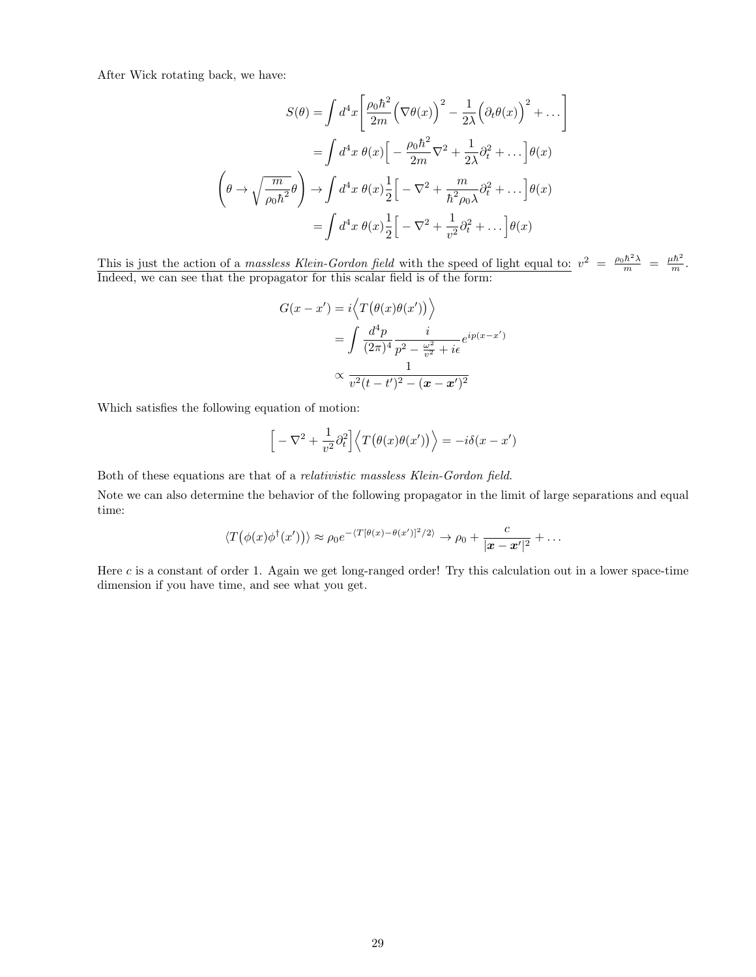After Wick rotating back, we have:

$$
S(\theta) = \int d^4x \left[ \frac{\rho_0 \hbar^2}{2m} \left( \nabla \theta(x) \right)^2 - \frac{1}{2\lambda} \left( \partial_t \theta(x) \right)^2 + \dots \right]
$$

$$
= \int d^4x \ \theta(x) \left[ -\frac{\rho_0 \hbar^2}{2m} \nabla^2 + \frac{1}{2\lambda} \partial_t^2 + \dots \right] \theta(x)
$$

$$
\left( \theta \to \sqrt{\frac{m}{\rho_0 \hbar^2}} \theta \right) \to \int d^4x \ \theta(x) \frac{1}{2} \left[ -\nabla^2 + \frac{m}{\hbar^2 \rho_0 \lambda} \partial_t^2 + \dots \right] \theta(x)
$$

$$
= \int d^4x \ \theta(x) \frac{1}{2} \left[ -\nabla^2 + \frac{1}{v^2} \partial_t^2 + \dots \right] \theta(x)
$$

This is just the action of a *massless Klein-Gordon field* with the speed of light equal to:  $v^2 = \frac{\rho_0 \hbar^2 \lambda}{m} = \frac{\mu \hbar^2}{m}$ . Indeed, we can see that the propagator for this scalar field is of the form:

$$
G(x - x') = i \left\langle T(\theta(x)\theta(x')) \right\rangle
$$
  
= 
$$
\int \frac{d^4 p}{(2\pi)^4} \frac{i}{p^2 - \frac{\omega^2}{v^2} + i\epsilon} e^{ip(x - x')}
$$
  

$$
\propto \frac{1}{v^2(t - t')^2 - (\mathbf{x} - \mathbf{x}')^2}
$$

Which satisfies the following equation of motion:

$$
\[ -\nabla^2 + \frac{1}{v^2} \partial_t^2 \] \langle T(\theta(x)\theta(x')) \rangle = -i\delta(x - x')
$$

Both of these equations are that of a relativistic massless Klein-Gordon field.

Note we can also determine the behavior of the following propagator in the limit of large separations and equal time:

$$
\langle T(\phi(x)\phi^{\dagger}(x'))\rangle \approx \rho_0 e^{-\langle T[\theta(x)-\theta(x')]^2/2\rangle} \rightarrow \rho_0 + \frac{c}{|\mathbf{x}-\mathbf{x}'|^2} + \dots
$$

Here  $c$  is a constant of order 1. Again we get long-ranged order! Try this calculation out in a lower space-time dimension if you have time, and see what you get.